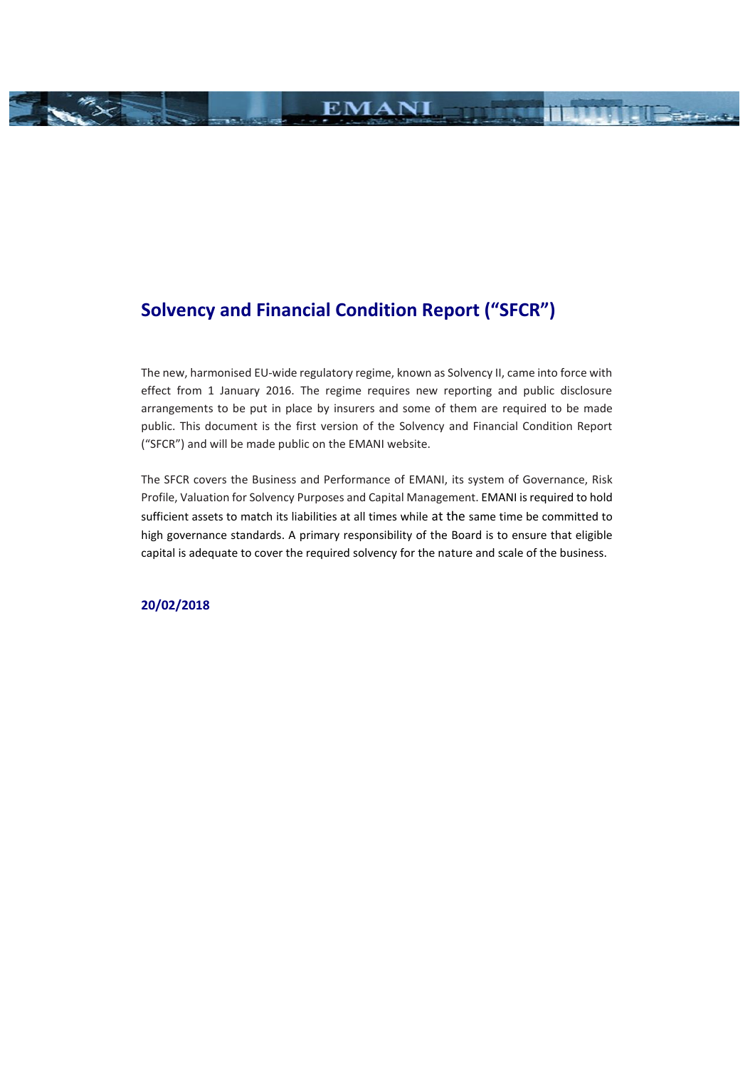# **Solvency and Financial Condition Report ("SFCR")**

The new, harmonised EU-wide regulatory regime, known as Solvency II, came into force with effect from 1 January 2016. The regime requires new reporting and public disclosure arrangements to be put in place by insurers and some of them are required to be made public. This document is the first version of the Solvency and Financial Condition Report ("SFCR") and will be made public on the EMANI website.

**EMANI** 

**TRACK** 

**THE REAL** 

The SFCR covers the Business and Performance of EMANI, its system of Governance, Risk Profile, Valuation for Solvency Purposes and Capital Management. EMANI is required to hold sufficient assets to match its liabilities at all times while at the same time be committed to high governance standards. A primary responsibility of the Board is to ensure that eligible capital is adequate to cover the required solvency for the nature and scale of the business.

**20/02/2018**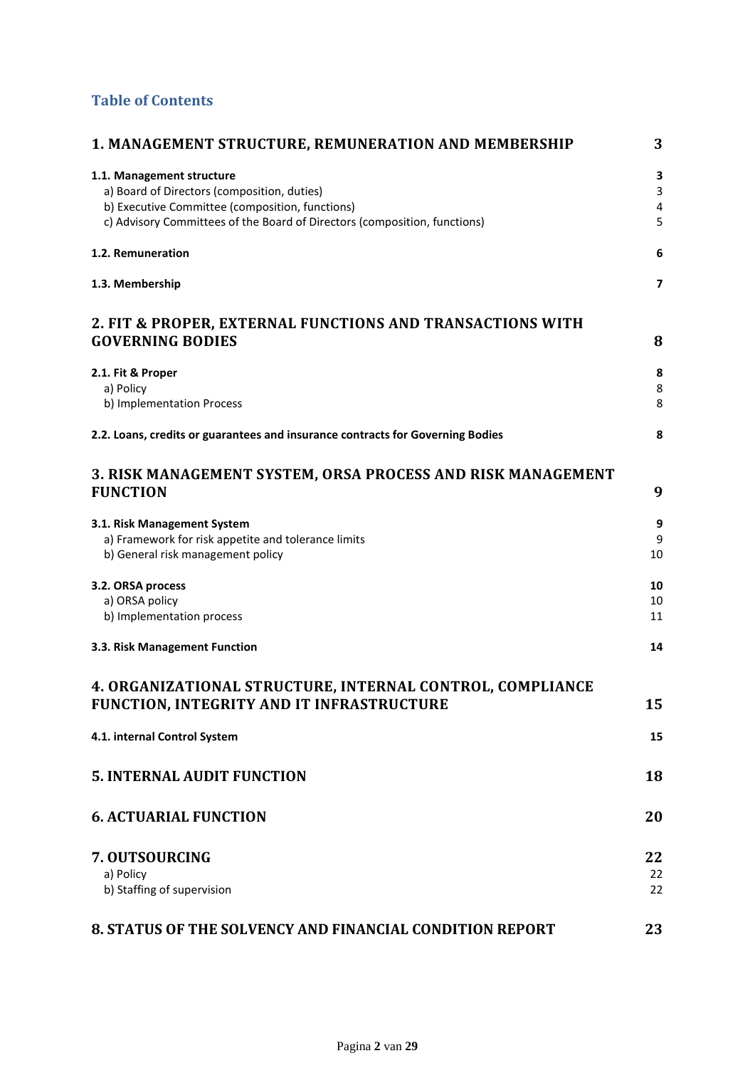## **Table of Contents**

| <b>1. MANAGEMENT STRUCTURE, REMUNERATION AND MEMBERSHIP</b>                    | 3                        |
|--------------------------------------------------------------------------------|--------------------------|
| 1.1. Management structure                                                      | 3                        |
| a) Board of Directors (composition, duties)                                    | 3                        |
| b) Executive Committee (composition, functions)                                | 4                        |
| c) Advisory Committees of the Board of Directors (composition, functions)      | 5                        |
| 1.2. Remuneration                                                              | 6                        |
| 1.3. Membership                                                                | $\overline{\phantom{a}}$ |
| 2. FIT & PROPER, EXTERNAL FUNCTIONS AND TRANSACTIONS WITH                      |                          |
| <b>GOVERNING BODIES</b>                                                        | 8                        |
| 2.1. Fit & Proper                                                              | 8                        |
| a) Policy                                                                      | 8                        |
| b) Implementation Process                                                      | 8                        |
| 2.2. Loans, credits or guarantees and insurance contracts for Governing Bodies | 8                        |
| 3. RISK MANAGEMENT SYSTEM, ORSA PROCESS AND RISK MANAGEMENT                    |                          |
| <b>FUNCTION</b>                                                                | 9                        |
| 3.1. Risk Management System                                                    | 9                        |
| a) Framework for risk appetite and tolerance limits                            | 9                        |
| b) General risk management policy                                              | 10                       |
| 3.2. ORSA process                                                              | 10                       |
| a) ORSA policy                                                                 | 10                       |
| b) Implementation process                                                      | 11                       |
| 3.3. Risk Management Function                                                  | 14                       |
| 4. ORGANIZATIONAL STRUCTURE, INTERNAL CONTROL, COMPLIANCE                      |                          |
| FUNCTION, INTEGRITY AND IT INFRASTRUCTURE                                      | 15                       |
|                                                                                |                          |
| 4.1. internal Control System                                                   | 15                       |
| <b>5. INTERNAL AUDIT FUNCTION</b>                                              | 18                       |
| <b>6. ACTUARIAL FUNCTION</b>                                                   | 20                       |
| 7. OUTSOURCING                                                                 | 22                       |
| a) Policy                                                                      | 22                       |
| b) Staffing of supervision                                                     | 22                       |
| 8. STATUS OF THE SOLVENCY AND FINANCIAL CONDITION REPORT                       | 23                       |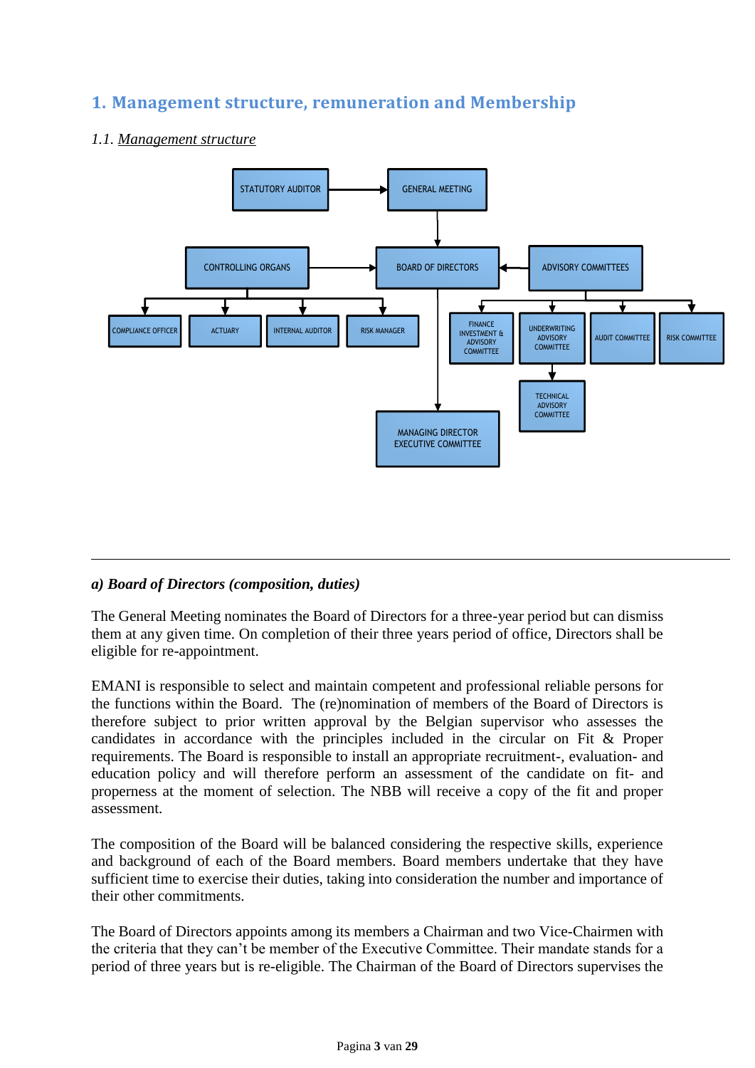## <span id="page-2-0"></span>**1. Management structure, remuneration and Membership**

# STATUTORY AUDITOR GENERAL MEETING CONTROLLING ORGANS **ADVISORY** CONTROLLING ORGANS **ADVISORY** COMMITTEES BOARD OF DIRECTORS J T ACTUARY INTERNAL AUDITOR RISK MANAGER INVESTMENT & RISK MANAGER COMPLIANCE OFFICER ACTUARY INTERNAL AUDITOR RISK MANAGER INVESTMENT & UNDERWRITING ADVISORY ADVISORY ADVISORY ADVISORY COMMITTEE RISK COMMITTEE ADVISORY<br>COMMITTEE **TECHNICAL** ADVISORY COMMITTEE MANAGING DIRECTOR EXECUTIVE COMMITTEE

## <span id="page-2-1"></span>*1.1. Management structure*

## <span id="page-2-2"></span>*a) Board of Directors (composition, duties)*

The General Meeting nominates the Board of Directors for a three-year period but can dismiss them at any given time. On completion of their three years period of office, Directors shall be eligible for re-appointment.

EMANI is responsible to select and maintain competent and professional reliable persons for the functions within the Board. The (re)nomination of members of the Board of Directors is therefore subject to prior written approval by the Belgian supervisor who assesses the candidates in accordance with the principles included in the circular on Fit & Proper requirements. The Board is responsible to install an appropriate recruitment-, evaluation- and education policy and will therefore perform an assessment of the candidate on fit- and properness at the moment of selection. The NBB will receive a copy of the fit and proper assessment.

The composition of the Board will be balanced considering the respective skills, experience and background of each of the Board members. Board members undertake that they have sufficient time to exercise their duties, taking into consideration the number and importance of their other commitments.

The Board of Directors appoints among its members a Chairman and two Vice-Chairmen with the criteria that they can't be member of the Executive Committee. Their mandate stands for a period of three years but is re-eligible. The Chairman of the Board of Directors supervises the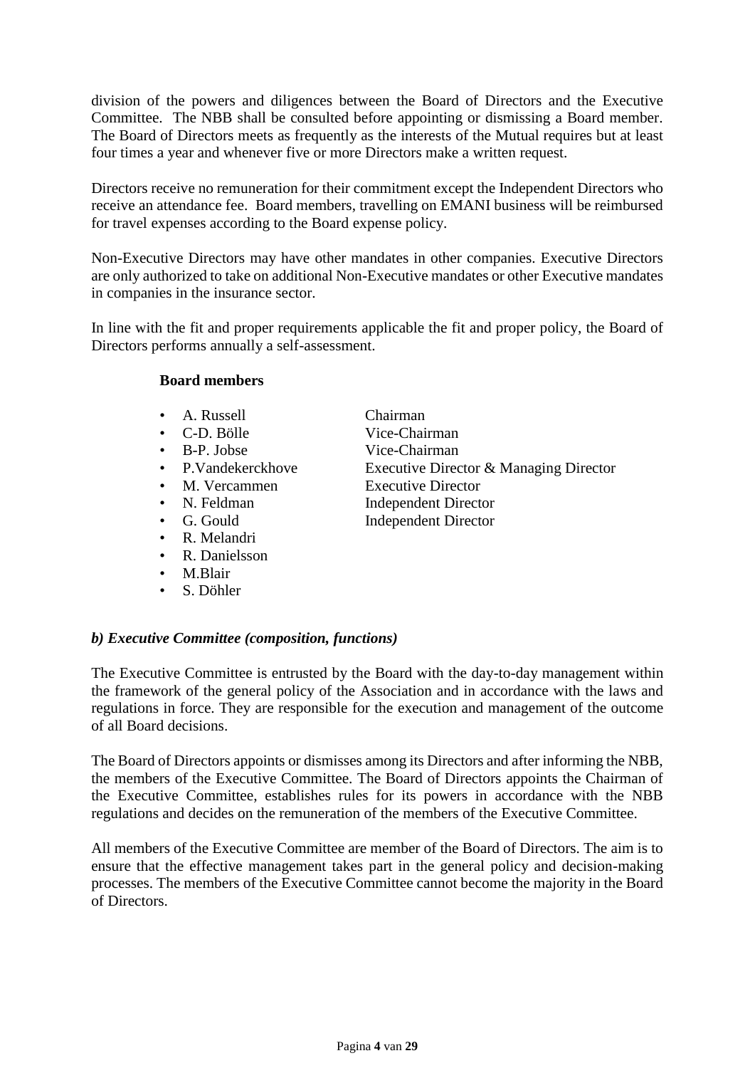division of the powers and diligences between the Board of Directors and the Executive Committee. The NBB shall be consulted before appointing or dismissing a Board member. The Board of Directors meets as frequently as the interests of the Mutual requires but at least four times a year and whenever five or more Directors make a written request.

Directors receive no remuneration for their commitment except the Independent Directors who receive an attendance fee. Board members, travelling on EMANI business will be reimbursed for travel expenses according to the Board expense policy.

Non-Executive Directors may have other mandates in other companies. Executive Directors are only authorized to take on additional Non-Executive mandates or other Executive mandates in companies in the insurance sector.

In line with the fit and proper requirements applicable the fit and proper policy, the Board of Directors performs annually a self-assessment.

### **Board members**

- A. Russell Chairman
- 
- 
- 
- 
- 
- 
- R. Melandri
- R. Danielsson
- M.Blair
- S. Döhler
- C-D. Bölle Vice-Chairman • B-P. Jobse Vice-Chairman P.Vandekerckhove Executive Director & Managing Director M. Vercammen Executive Director N. Feldman Independent Director G. Gould Independent Director

## <span id="page-3-0"></span>*b) Executive Committee (composition, functions)*

The Executive Committee is entrusted by the Board with the day-to-day management within the framework of the general policy of the Association and in accordance with the laws and regulations in force. They are responsible for the execution and management of the outcome of all Board decisions.

The Board of Directors appoints or dismisses among its Directors and after informing the NBB, the members of the Executive Committee. The Board of Directors appoints the Chairman of the Executive Committee, establishes rules for its powers in accordance with the NBB regulations and decides on the remuneration of the members of the Executive Committee.

All members of the Executive Committee are member of the Board of Directors. The aim is to ensure that the effective management takes part in the general policy and decision-making processes. The members of the Executive Committee cannot become the majority in the Board of Directors.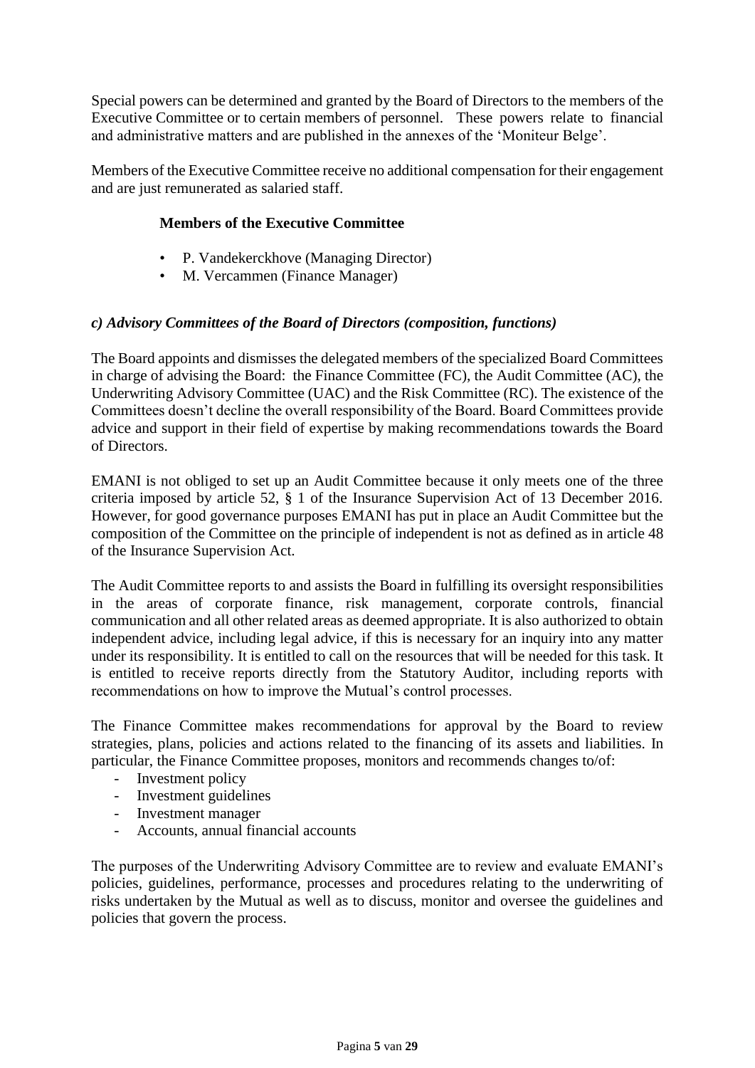Special powers can be determined and granted by the Board of Directors to the members of the Executive Committee or to certain members of personnel. These powers relate to financial and administrative matters and are published in the annexes of the 'Moniteur Belge'.

Members of the Executive Committee receive no additional compensation for their engagement and are just remunerated as salaried staff.

## **Members of the Executive Committee**

- P. Vandekerckhove (Managing Director)
- M. Vercammen (Finance Manager)

### <span id="page-4-0"></span>*c) Advisory Committees of the Board of Directors (composition, functions)*

The Board appoints and dismisses the delegated members of the specialized Board Committees in charge of advising the Board: the Finance Committee (FC), the Audit Committee (AC), the Underwriting Advisory Committee (UAC) and the Risk Committee (RC). The existence of the Committees doesn't decline the overall responsibility of the Board. Board Committees provide advice and support in their field of expertise by making recommendations towards the Board of Directors.

EMANI is not obliged to set up an Audit Committee because it only meets one of the three criteria imposed by article 52, § 1 of the Insurance Supervision Act of 13 December 2016. However, for good governance purposes EMANI has put in place an Audit Committee but the composition of the Committee on the principle of independent is not as defined as in article 48 of the Insurance Supervision Act.

The Audit Committee reports to and assists the Board in fulfilling its oversight responsibilities in the areas of corporate finance, risk management, corporate controls, financial communication and all other related areas as deemed appropriate. It is also authorized to obtain independent advice, including legal advice, if this is necessary for an inquiry into any matter under its responsibility. It is entitled to call on the resources that will be needed for this task. It is entitled to receive reports directly from the Statutory Auditor, including reports with recommendations on how to improve the Mutual's control processes.

The Finance Committee makes recommendations for approval by the Board to review strategies, plans, policies and actions related to the financing of its assets and liabilities. In particular, the Finance Committee proposes, monitors and recommends changes to/of:

- Investment policy
- Investment guidelines
- Investment manager
- Accounts, annual financial accounts

The purposes of the Underwriting Advisory Committee are to review and evaluate EMANI's policies, guidelines, performance, processes and procedures relating to the underwriting of risks undertaken by the Mutual as well as to discuss, monitor and oversee the guidelines and policies that govern the process.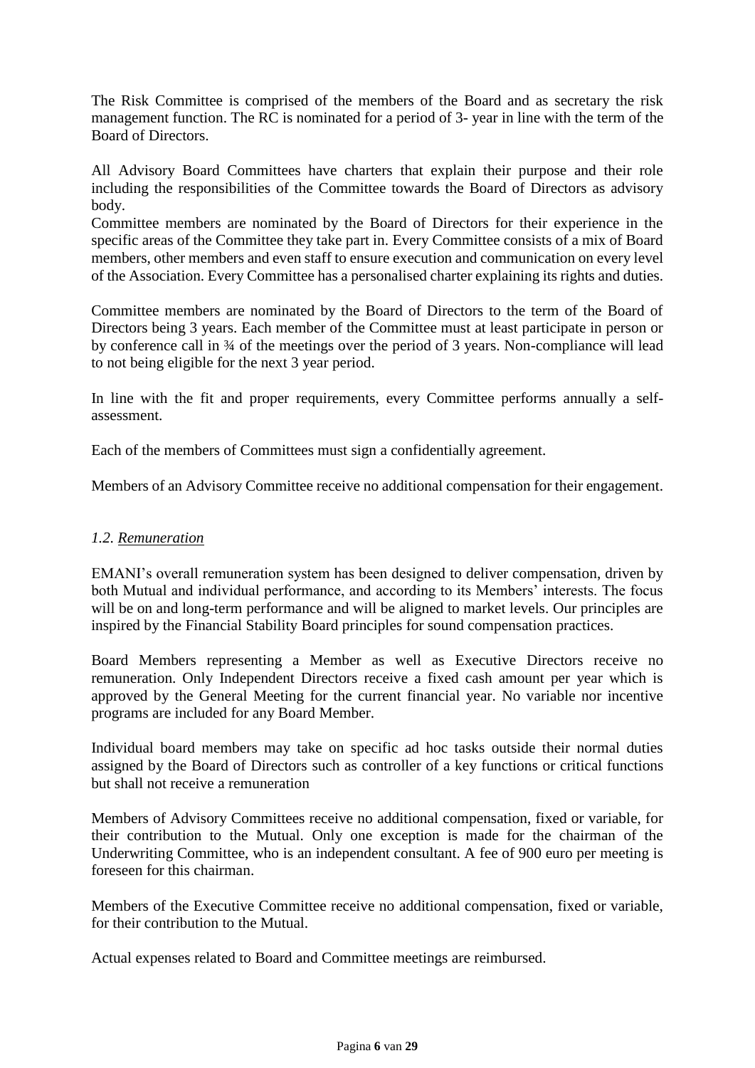The Risk Committee is comprised of the members of the Board and as secretary the risk management function. The RC is nominated for a period of 3- year in line with the term of the Board of Directors.

All Advisory Board Committees have charters that explain their purpose and their role including the responsibilities of the Committee towards the Board of Directors as advisory body.

Committee members are nominated by the Board of Directors for their experience in the specific areas of the Committee they take part in. Every Committee consists of a mix of Board members, other members and even staff to ensure execution and communication on every level of the Association. Every Committee has a personalised charter explaining its rights and duties.

Committee members are nominated by the Board of Directors to the term of the Board of Directors being 3 years. Each member of the Committee must at least participate in person or by conference call in ¾ of the meetings over the period of 3 years. Non-compliance will lead to not being eligible for the next 3 year period.

In line with the fit and proper requirements, every Committee performs annually a selfassessment.

Each of the members of Committees must sign a confidentially agreement.

Members of an Advisory Committee receive no additional compensation for their engagement.

## <span id="page-5-0"></span>*1.2. Remuneration*

EMANI's overall remuneration system has been designed to deliver compensation, driven by both Mutual and individual performance, and according to its Members' interests. The focus will be on and long-term performance and will be aligned to market levels. Our principles are inspired by the Financial Stability Board principles for sound compensation practices.

Board Members representing a Member as well as Executive Directors receive no remuneration. Only Independent Directors receive a fixed cash amount per year which is approved by the General Meeting for the current financial year. No variable nor incentive programs are included for any Board Member.

Individual board members may take on specific ad hoc tasks outside their normal duties assigned by the Board of Directors such as controller of a key functions or critical functions but shall not receive a remuneration

Members of Advisory Committees receive no additional compensation, fixed or variable, for their contribution to the Mutual. Only one exception is made for the chairman of the Underwriting Committee, who is an independent consultant. A fee of 900 euro per meeting is foreseen for this chairman.

Members of the Executive Committee receive no additional compensation, fixed or variable, for their contribution to the Mutual.

Actual expenses related to Board and Committee meetings are reimbursed.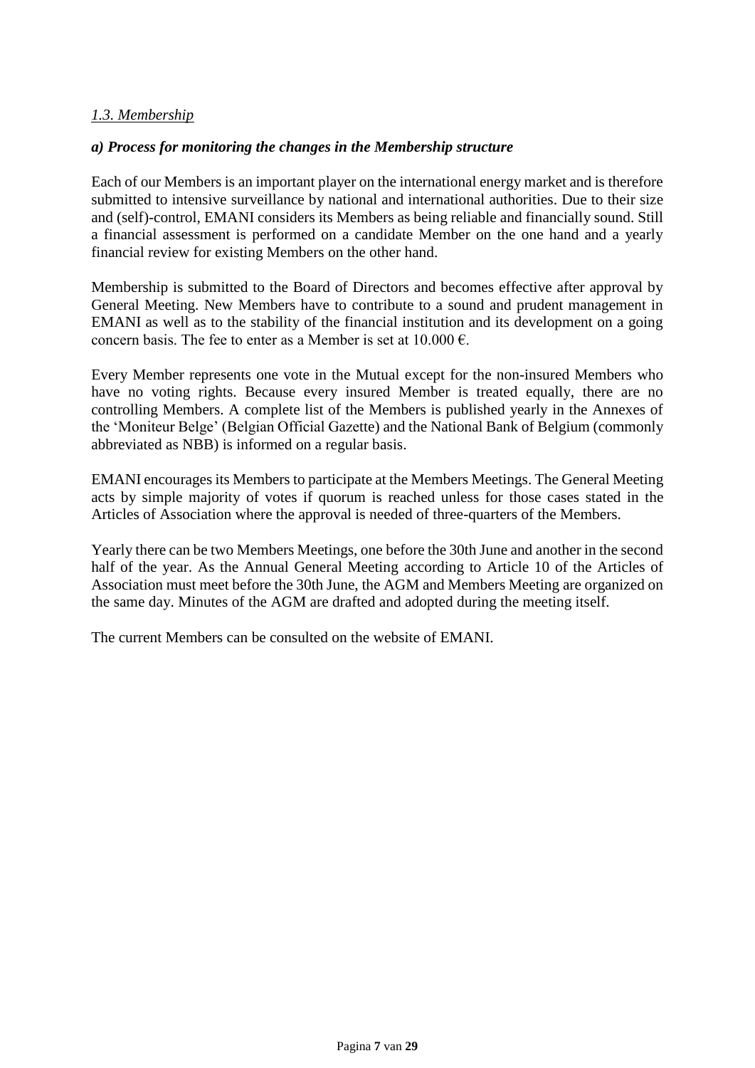## <span id="page-6-0"></span>*1.3. Membership*

### *a) Process for monitoring the changes in the Membership structure*

Each of our Members is an important player on the international energy market and is therefore submitted to intensive surveillance by national and international authorities. Due to their size and (self)-control, EMANI considers its Members as being reliable and financially sound. Still a financial assessment is performed on a candidate Member on the one hand and a yearly financial review for existing Members on the other hand.

Membership is submitted to the Board of Directors and becomes effective after approval by General Meeting. New Members have to contribute to a sound and prudent management in EMANI as well as to the stability of the financial institution and its development on a going concern basis. The fee to enter as a Member is set at  $10.000 \text{ } \epsilon$ .

Every Member represents one vote in the Mutual except for the non-insured Members who have no voting rights. Because every insured Member is treated equally, there are no controlling Members. A complete list of the Members is published yearly in the Annexes of the 'Moniteur Belge' (Belgian Official Gazette) and the National Bank of Belgium (commonly abbreviated as NBB) is informed on a regular basis.

EMANI encourages its Members to participate at the Members Meetings. The General Meeting acts by simple majority of votes if quorum is reached unless for those cases stated in the Articles of Association where the approval is needed of three-quarters of the Members.

Yearly there can be two Members Meetings, one before the 30th June and another in the second half of the year. As the Annual General Meeting according to Article 10 of the Articles of Association must meet before the 30th June, the AGM and Members Meeting are organized on the same day. Minutes of the AGM are drafted and adopted during the meeting itself.

The current Members can be consulted on the website of EMANI.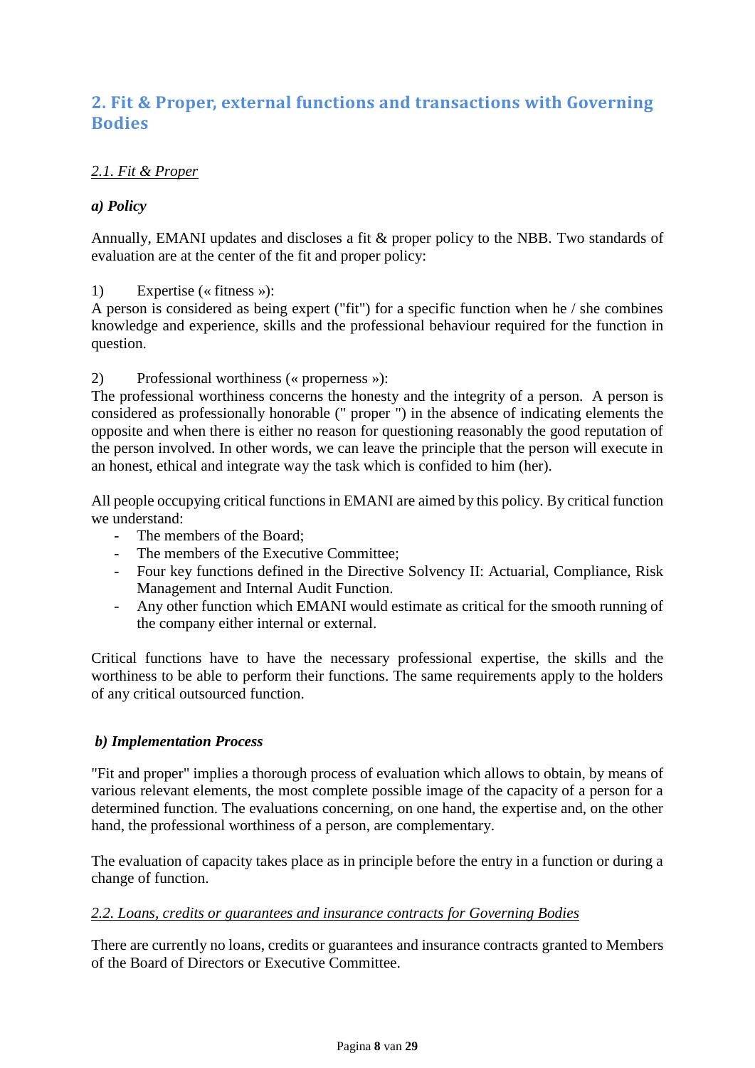## <span id="page-7-0"></span>**2. Fit & Proper, external functions and transactions with Governing Bodies**

## <span id="page-7-1"></span>*2.1. Fit & Proper*

## <span id="page-7-2"></span>*a) Policy*

Annually, EMANI updates and discloses a fit & proper policy to the NBB. Two standards of evaluation are at the center of the fit and proper policy:

1) Expertise (« fitness »):

A person is considered as being expert ("fit") for a specific function when he / she combines knowledge and experience, skills and the professional behaviour required for the function in question.

### 2) Professional worthiness (« properness »):

The professional worthiness concerns the honesty and the integrity of a person. A person is considered as professionally honorable (" proper ") in the absence of indicating elements the opposite and when there is either no reason for questioning reasonably the good reputation of the person involved. In other words, we can leave the principle that the person will execute in an honest, ethical and integrate way the task which is confided to him (her).

All people occupying critical functions in EMANI are aimed by this policy. By critical function we understand:

- The members of the Board;
- The members of the Executive Committee;
- Four key functions defined in the Directive Solvency II: Actuarial, Compliance, Risk Management and Internal Audit Function.
- Any other function which EMANI would estimate as critical for the smooth running of the company either internal or external.

Critical functions have to have the necessary professional expertise, the skills and the worthiness to be able to perform their functions. The same requirements apply to the holders of any critical outsourced function.

## <span id="page-7-3"></span>*b) Implementation Process*

"Fit and proper" implies a thorough process of evaluation which allows to obtain, by means of various relevant elements, the most complete possible image of the capacity of a person for a determined function. The evaluations concerning, on one hand, the expertise and, on the other hand, the professional worthiness of a person, are complementary.

The evaluation of capacity takes place as in principle before the entry in a function or during a change of function.

### <span id="page-7-4"></span>*2.2. Loans, credits or guarantees and insurance contracts for Governing Bodies*

There are currently no loans, credits or guarantees and insurance contracts granted to Members of the Board of Directors or Executive Committee.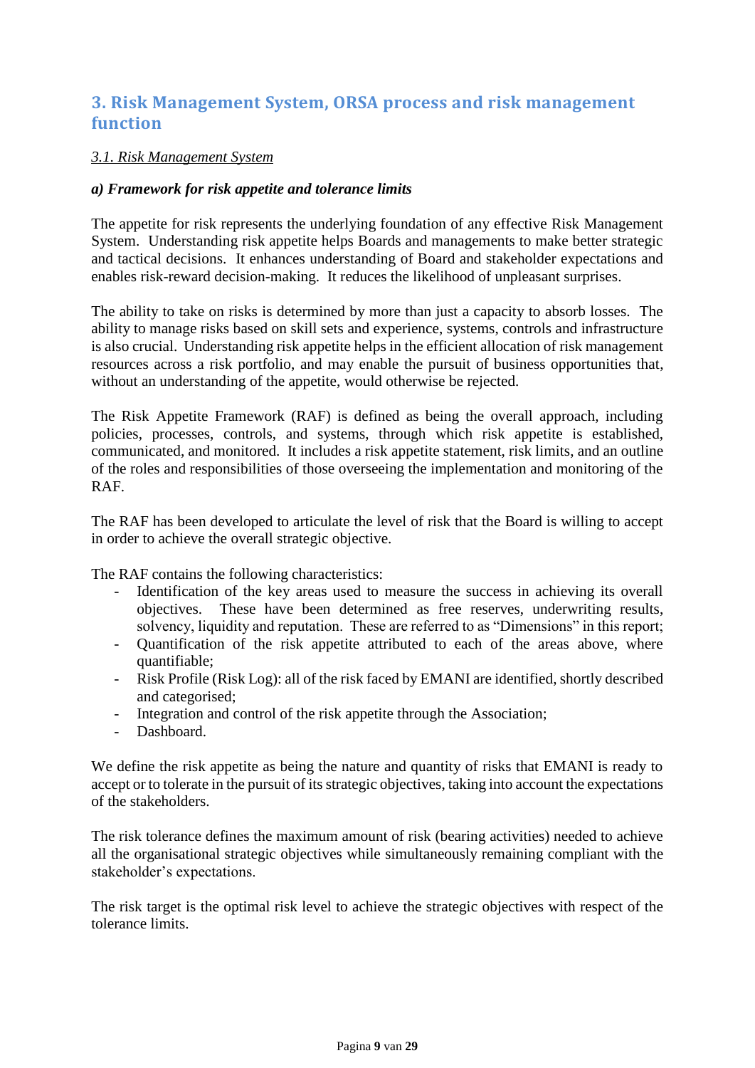## <span id="page-8-0"></span>**3. Risk Management System, ORSA process and risk management function**

### <span id="page-8-1"></span>*3.1. Risk Management System*

### <span id="page-8-2"></span>*a) Framework for risk appetite and tolerance limits*

The appetite for risk represents the underlying foundation of any effective Risk Management System. Understanding risk appetite helps Boards and managements to make better strategic and tactical decisions. It enhances understanding of Board and stakeholder expectations and enables risk-reward decision-making. It reduces the likelihood of unpleasant surprises.

The ability to take on risks is determined by more than just a capacity to absorb losses. The ability to manage risks based on skill sets and experience, systems, controls and infrastructure is also crucial. Understanding risk appetite helps in the efficient allocation of risk management resources across a risk portfolio, and may enable the pursuit of business opportunities that, without an understanding of the appetite, would otherwise be rejected.

The Risk Appetite Framework (RAF) is defined as being the overall approach, including policies, processes, controls, and systems, through which risk appetite is established, communicated, and monitored. It includes a risk appetite statement, risk limits, and an outline of the roles and responsibilities of those overseeing the implementation and monitoring of the RAF.

The RAF has been developed to articulate the level of risk that the Board is willing to accept in order to achieve the overall strategic objective.

The RAF contains the following characteristics:

- Identification of the key areas used to measure the success in achieving its overall objectives. These have been determined as free reserves, underwriting results, solvency, liquidity and reputation. These are referred to as "Dimensions" in this report;
- Quantification of the risk appetite attributed to each of the areas above, where quantifiable;
- Risk Profile (Risk Log): all of the risk faced by EMANI are identified, shortly described and categorised;
- Integration and control of the risk appetite through the Association;
- Dashboard

We define the risk appetite as being the nature and quantity of risks that EMANI is ready to accept or to tolerate in the pursuit of its strategic objectives, taking into account the expectations of the stakeholders.

The risk tolerance defines the maximum amount of risk (bearing activities) needed to achieve all the organisational strategic objectives while simultaneously remaining compliant with the stakeholder's expectations.

The risk target is the optimal risk level to achieve the strategic objectives with respect of the tolerance limits.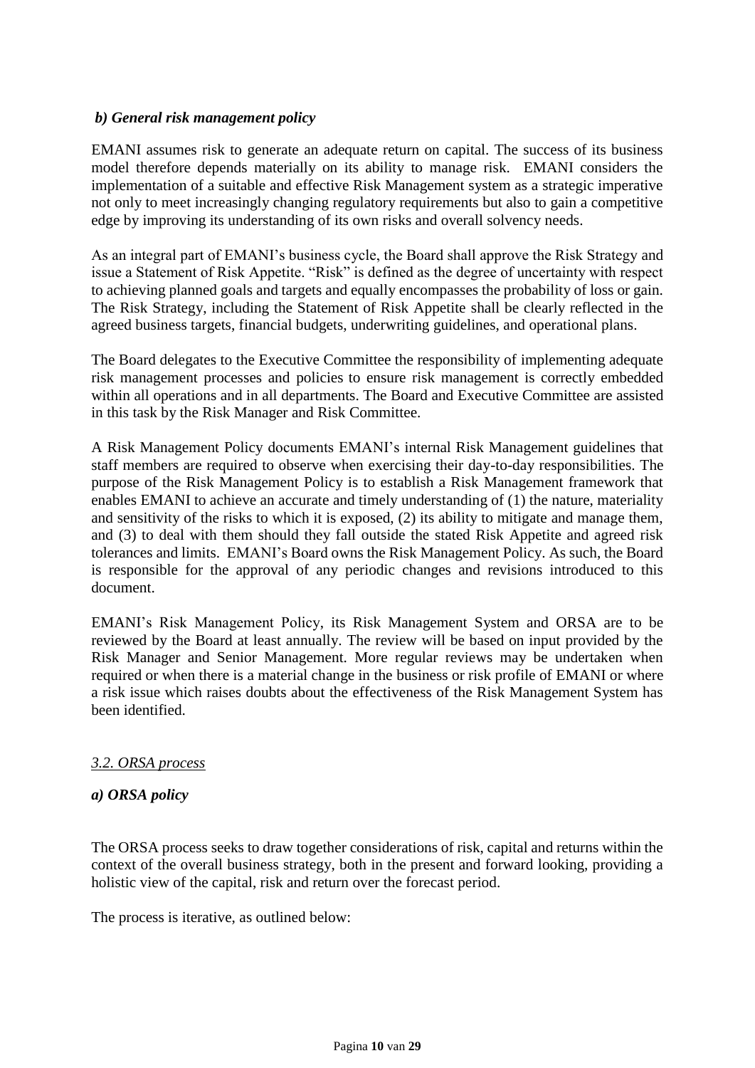### <span id="page-9-0"></span>*b) General risk management policy*

EMANI assumes risk to generate an adequate return on capital. The success of its business model therefore depends materially on its ability to manage risk. EMANI considers the implementation of a suitable and effective Risk Management system as a strategic imperative not only to meet increasingly changing regulatory requirements but also to gain a competitive edge by improving its understanding of its own risks and overall solvency needs.

As an integral part of EMANI's business cycle, the Board shall approve the Risk Strategy and issue a Statement of Risk Appetite. "Risk" is defined as the degree of uncertainty with respect to achieving planned goals and targets and equally encompasses the probability of loss or gain. The Risk Strategy, including the Statement of Risk Appetite shall be clearly reflected in the agreed business targets, financial budgets, underwriting guidelines, and operational plans.

The Board delegates to the Executive Committee the responsibility of implementing adequate risk management processes and policies to ensure risk management is correctly embedded within all operations and in all departments. The Board and Executive Committee are assisted in this task by the Risk Manager and Risk Committee.

A Risk Management Policy documents EMANI's internal Risk Management guidelines that staff members are required to observe when exercising their day-to-day responsibilities. The purpose of the Risk Management Policy is to establish a Risk Management framework that enables EMANI to achieve an accurate and timely understanding of (1) the nature, materiality and sensitivity of the risks to which it is exposed, (2) its ability to mitigate and manage them, and (3) to deal with them should they fall outside the stated Risk Appetite and agreed risk tolerances and limits. EMANI's Board owns the Risk Management Policy. As such, the Board is responsible for the approval of any periodic changes and revisions introduced to this document.

EMANI's Risk Management Policy, its Risk Management System and ORSA are to be reviewed by the Board at least annually. The review will be based on input provided by the Risk Manager and Senior Management. More regular reviews may be undertaken when required or when there is a material change in the business or risk profile of EMANI or where a risk issue which raises doubts about the effectiveness of the Risk Management System has been identified.

## <span id="page-9-1"></span>*3.2. ORSA process*

#### <span id="page-9-2"></span>*a) ORSA policy*

The ORSA process seeks to draw together considerations of risk, capital and returns within the context of the overall business strategy, both in the present and forward looking, providing a holistic view of the capital, risk and return over the forecast period.

The process is iterative, as outlined below: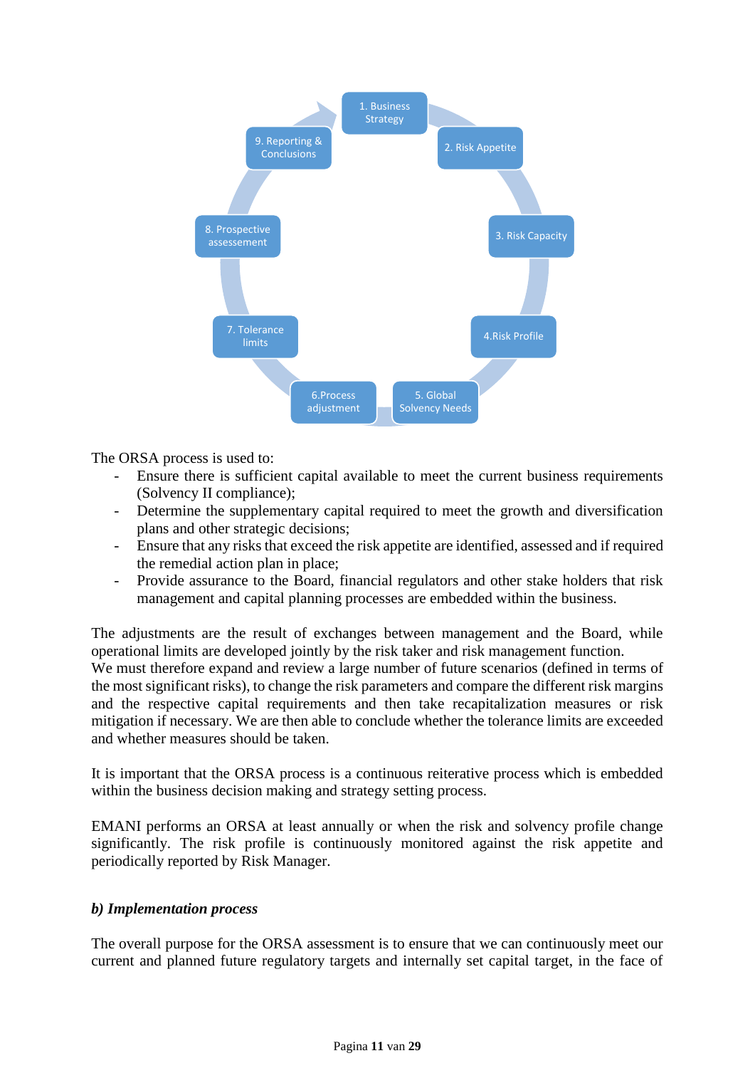

The ORSA process is used to:

- Ensure there is sufficient capital available to meet the current business requirements (Solvency II compliance);
- Determine the supplementary capital required to meet the growth and diversification plans and other strategic decisions;
- Ensure that any risks that exceed the risk appetite are identified, assessed and if required the remedial action plan in place;
- Provide assurance to the Board, financial regulators and other stake holders that risk management and capital planning processes are embedded within the business.

The adjustments are the result of exchanges between management and the Board, while operational limits are developed jointly by the risk taker and risk management function. We must therefore expand and review a large number of future scenarios (defined in terms of the most significant risks), to change the risk parameters and compare the different risk margins and the respective capital requirements and then take recapitalization measures or risk mitigation if necessary. We are then able to conclude whether the tolerance limits are exceeded and whether measures should be taken.

It is important that the ORSA process is a continuous reiterative process which is embedded within the business decision making and strategy setting process.

EMANI performs an ORSA at least annually or when the risk and solvency profile change significantly. The risk profile is continuously monitored against the risk appetite and periodically reported by Risk Manager.

#### <span id="page-10-0"></span>*b) Implementation process*

The overall purpose for the ORSA assessment is to ensure that we can continuously meet our current and planned future regulatory targets and internally set capital target, in the face of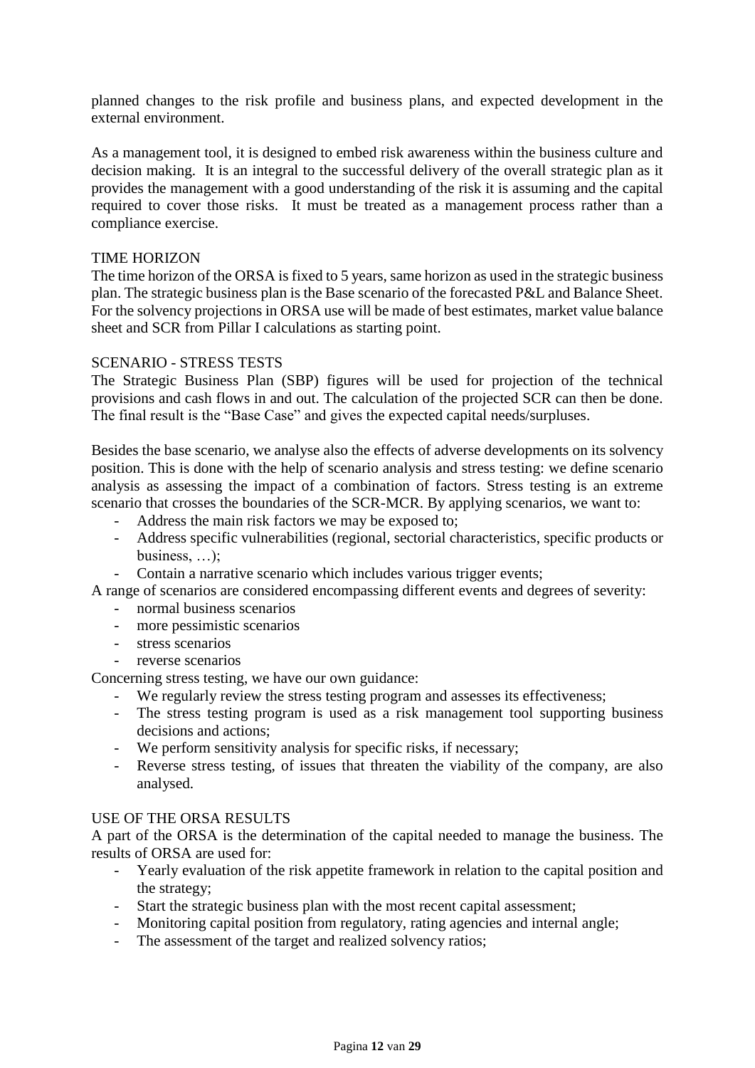planned changes to the risk profile and business plans, and expected development in the external environment.

As a management tool, it is designed to embed risk awareness within the business culture and decision making. It is an integral to the successful delivery of the overall strategic plan as it provides the management with a good understanding of the risk it is assuming and the capital required to cover those risks. It must be treated as a management process rather than a compliance exercise.

#### TIME HORIZON

The time horizon of the ORSA is fixed to 5 years, same horizon as used in the strategic business plan. The strategic business plan is the Base scenario of the forecasted P&L and Balance Sheet. For the solvency projections in ORSA use will be made of best estimates, market value balance sheet and SCR from Pillar I calculations as starting point.

#### SCENARIO - STRESS TESTS

The Strategic Business Plan (SBP) figures will be used for projection of the technical provisions and cash flows in and out. The calculation of the projected SCR can then be done. The final result is the "Base Case" and gives the expected capital needs/surpluses.

Besides the base scenario, we analyse also the effects of adverse developments on its solvency position. This is done with the help of scenario analysis and stress testing: we define scenario analysis as assessing the impact of a combination of factors. Stress testing is an extreme scenario that crosses the boundaries of the SCR-MCR. By applying scenarios, we want to:

- Address the main risk factors we may be exposed to;
- Address specific vulnerabilities (regional, sectorial characteristics, specific products or business, …);
- Contain a narrative scenario which includes various trigger events;

A range of scenarios are considered encompassing different events and degrees of severity:

- normal business scenarios
- more pessimistic scenarios
- stress scenarios
- reverse scenarios

Concerning stress testing, we have our own guidance:

- We regularly review the stress testing program and assesses its effectiveness;
- The stress testing program is used as a risk management tool supporting business decisions and actions;
- We perform sensitivity analysis for specific risks, if necessary;
- Reverse stress testing, of issues that threaten the viability of the company, are also analysed.

#### USE OF THE ORSA RESULTS

A part of the ORSA is the determination of the capital needed to manage the business. The results of ORSA are used for:

- Yearly evaluation of the risk appetite framework in relation to the capital position and the strategy;
- Start the strategic business plan with the most recent capital assessment;
- Monitoring capital position from regulatory, rating agencies and internal angle;
- The assessment of the target and realized solvency ratios;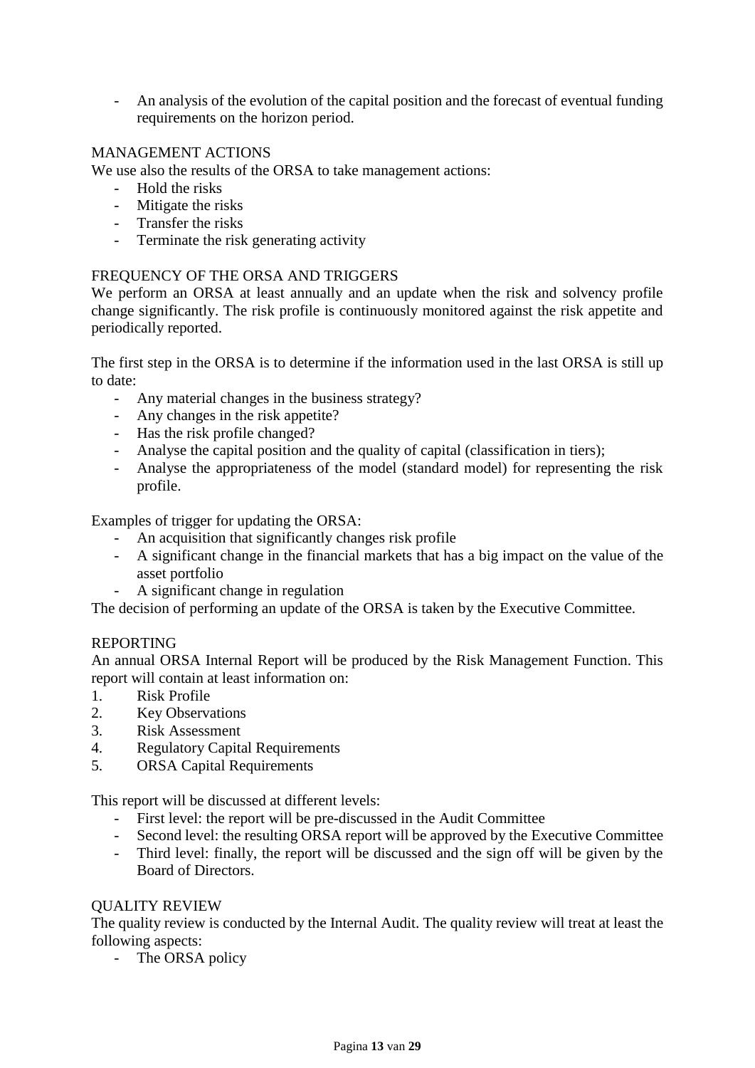- An analysis of the evolution of the capital position and the forecast of eventual funding requirements on the horizon period.

## MANAGEMENT ACTIONS

We use also the results of the ORSA to take management actions:

- Hold the risks
- Mitigate the risks
- Transfer the risks
- Terminate the risk generating activity

### FREQUENCY OF THE ORSA AND TRIGGERS

We perform an ORSA at least annually and an update when the risk and solvency profile change significantly. The risk profile is continuously monitored against the risk appetite and periodically reported.

The first step in the ORSA is to determine if the information used in the last ORSA is still up to date:

- Any material changes in the business strategy?
- Any changes in the risk appetite?
- Has the risk profile changed?
- Analyse the capital position and the quality of capital (classification in tiers);
- Analyse the appropriateness of the model (standard model) for representing the risk profile.

Examples of trigger for updating the ORSA:

- An acquisition that significantly changes risk profile
- A significant change in the financial markets that has a big impact on the value of the asset portfolio
- A significant change in regulation

The decision of performing an update of the ORSA is taken by the Executive Committee.

#### REPORTING

An annual ORSA Internal Report will be produced by the Risk Management Function. This report will contain at least information on:

- 1. Risk Profile
- 2. Key Observations
- 3. Risk Assessment
- 4. Regulatory Capital Requirements
- 5. ORSA Capital Requirements

This report will be discussed at different levels:

- First level: the report will be pre-discussed in the Audit Committee
- Second level: the resulting ORSA report will be approved by the Executive Committee
- Third level: finally, the report will be discussed and the sign off will be given by the Board of Directors.

#### QUALITY REVIEW

The quality review is conducted by the Internal Audit. The quality review will treat at least the following aspects:

- The ORSA policy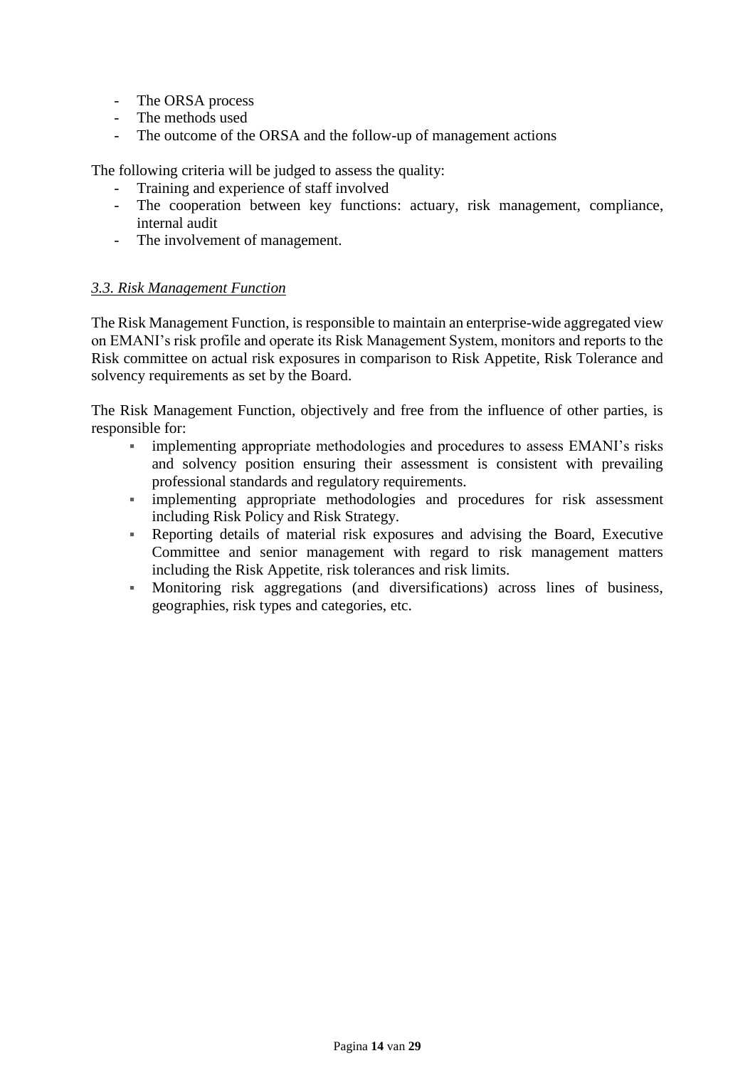- The ORSA process
- The methods used
- The outcome of the ORSA and the follow-up of management actions

The following criteria will be judged to assess the quality:

- Training and experience of staff involved<br>- The cooperation between key function
- The cooperation between key functions: actuary, risk management, compliance, internal audit
- The involvement of management.

### <span id="page-13-0"></span>*3.3. Risk Management Function*

The Risk Management Function, is responsible to maintain an enterprise-wide aggregated view on EMANI's risk profile and operate its Risk Management System, monitors and reports to the Risk committee on actual risk exposures in comparison to Risk Appetite, Risk Tolerance and solvency requirements as set by the Board.

The Risk Management Function, objectively and free from the influence of other parties, is responsible for:

- **•** implementing appropriate methodologies and procedures to assess EMANI's risks and solvency position ensuring their assessment is consistent with prevailing professional standards and regulatory requirements.
- implementing appropriate methodologies and procedures for risk assessment including Risk Policy and Risk Strategy.
- Reporting details of material risk exposures and advising the Board, Executive Committee and senior management with regard to risk management matters including the Risk Appetite, risk tolerances and risk limits.
- Monitoring risk aggregations (and diversifications) across lines of business, geographies, risk types and categories, etc.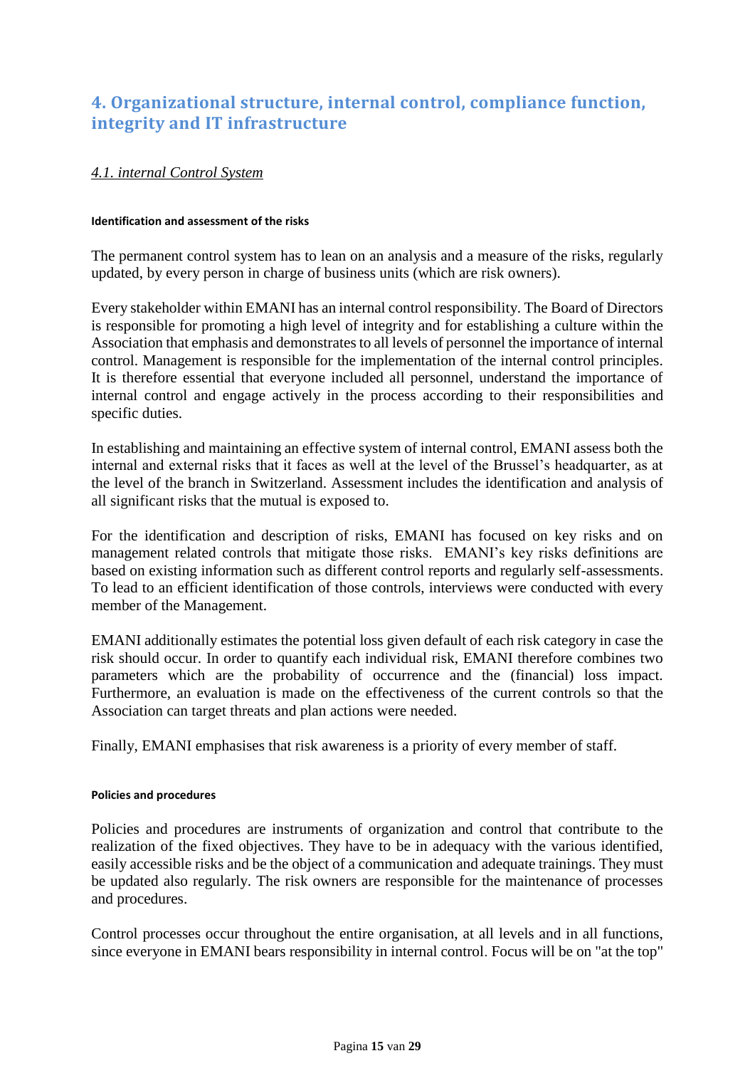# <span id="page-14-0"></span>**4. Organizational structure, internal control, compliance function, integrity and IT infrastructure**

## <span id="page-14-1"></span>*4.1. internal Control System*

#### **Identification and assessment of the risks**

The permanent control system has to lean on an analysis and a measure of the risks, regularly updated, by every person in charge of business units (which are risk owners).

Every stakeholder within EMANI has an internal control responsibility. The Board of Directors is responsible for promoting a high level of integrity and for establishing a culture within the Association that emphasis and demonstrates to all levels of personnel the importance of internal control. Management is responsible for the implementation of the internal control principles. It is therefore essential that everyone included all personnel, understand the importance of internal control and engage actively in the process according to their responsibilities and specific duties.

In establishing and maintaining an effective system of internal control, EMANI assess both the internal and external risks that it faces as well at the level of the Brussel's headquarter, as at the level of the branch in Switzerland. Assessment includes the identification and analysis of all significant risks that the mutual is exposed to.

For the identification and description of risks, EMANI has focused on key risks and on management related controls that mitigate those risks. EMANI's key risks definitions are based on existing information such as different control reports and regularly self-assessments. To lead to an efficient identification of those controls, interviews were conducted with every member of the Management.

EMANI additionally estimates the potential loss given default of each risk category in case the risk should occur. In order to quantify each individual risk, EMANI therefore combines two parameters which are the probability of occurrence and the (financial) loss impact. Furthermore, an evaluation is made on the effectiveness of the current controls so that the Association can target threats and plan actions were needed.

Finally, EMANI emphasises that risk awareness is a priority of every member of staff.

#### **Policies and procedures**

Policies and procedures are instruments of organization and control that contribute to the realization of the fixed objectives. They have to be in adequacy with the various identified, easily accessible risks and be the object of a communication and adequate trainings. They must be updated also regularly. The risk owners are responsible for the maintenance of processes and procedures.

Control processes occur throughout the entire organisation, at all levels and in all functions, since everyone in EMANI bears responsibility in internal control. Focus will be on "at the top"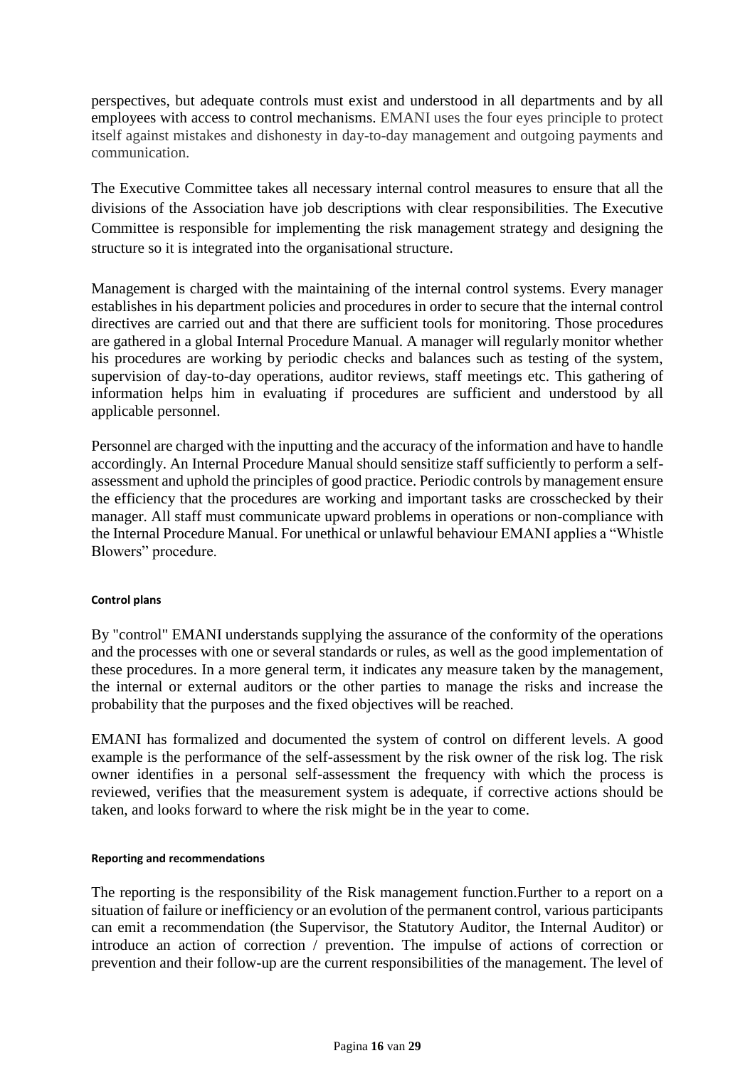perspectives, but adequate controls must exist and understood in all departments and by all employees with access to control mechanisms. EMANI uses the four eyes principle to protect itself against mistakes and dishonesty in day-to-day management and outgoing payments and communication.

The Executive Committee takes all necessary internal control measures to ensure that all the divisions of the Association have job descriptions with clear responsibilities. The Executive Committee is responsible for implementing the risk management strategy and designing the structure so it is integrated into the organisational structure.

Management is charged with the maintaining of the internal control systems. Every manager establishes in his department policies and procedures in order to secure that the internal control directives are carried out and that there are sufficient tools for monitoring. Those procedures are gathered in a global Internal Procedure Manual. A manager will regularly monitor whether his procedures are working by periodic checks and balances such as testing of the system, supervision of day-to-day operations, auditor reviews, staff meetings etc. This gathering of information helps him in evaluating if procedures are sufficient and understood by all applicable personnel.

Personnel are charged with the inputting and the accuracy of the information and have to handle accordingly. An Internal Procedure Manual should sensitize staff sufficiently to perform a selfassessment and uphold the principles of good practice. Periodic controls by management ensure the efficiency that the procedures are working and important tasks are crosschecked by their manager. All staff must communicate upward problems in operations or non-compliance with the Internal Procedure Manual. For unethical or unlawful behaviour EMANI applies a "Whistle Blowers" procedure.

#### **Control plans**

By "control" EMANI understands supplying the assurance of the conformity of the operations and the processes with one or several standards or rules, as well as the good implementation of these procedures. In a more general term, it indicates any measure taken by the management, the internal or external auditors or the other parties to manage the risks and increase the probability that the purposes and the fixed objectives will be reached.

EMANI has formalized and documented the system of control on different levels. A good example is the performance of the self-assessment by the risk owner of the risk log. The risk owner identifies in a personal self-assessment the frequency with which the process is reviewed, verifies that the measurement system is adequate, if corrective actions should be taken, and looks forward to where the risk might be in the year to come.

#### **Reporting and recommendations**

The reporting is the responsibility of the Risk management function.Further to a report on a situation of failure or inefficiency or an evolution of the permanent control, various participants can emit a recommendation (the Supervisor, the Statutory Auditor, the Internal Auditor) or introduce an action of correction / prevention. The impulse of actions of correction or prevention and their follow-up are the current responsibilities of the management. The level of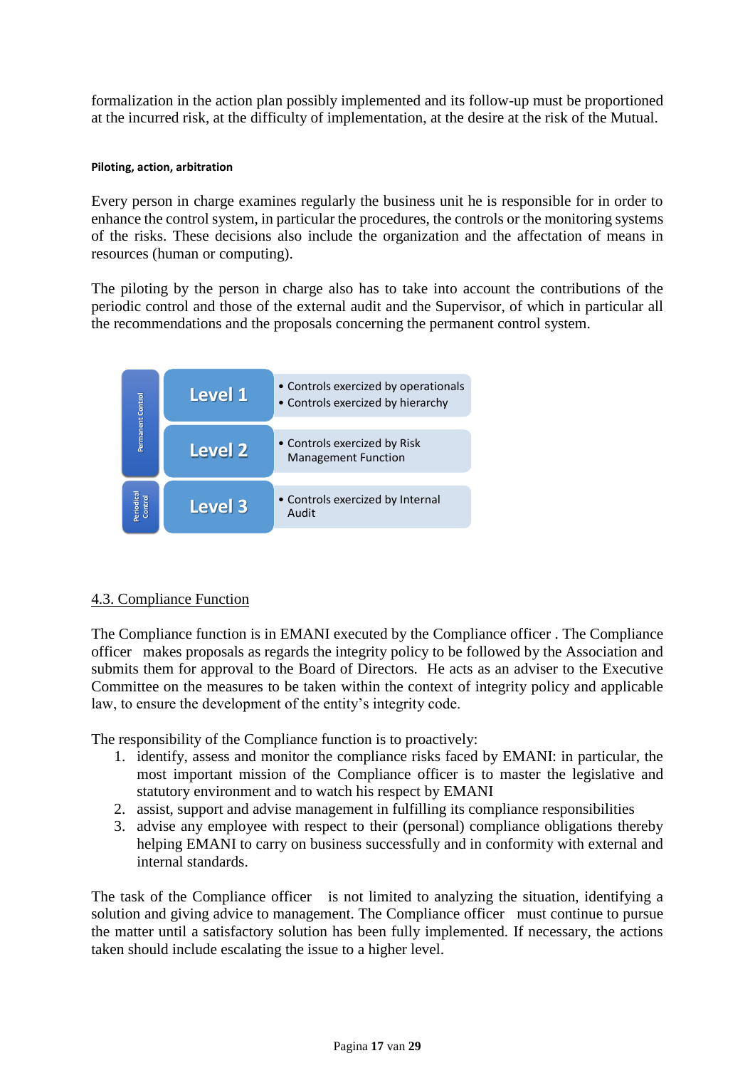formalization in the action plan possibly implemented and its follow-up must be proportioned at the incurred risk, at the difficulty of implementation, at the desire at the risk of the Mutual.

#### **Piloting, action, arbitration**

Every person in charge examines regularly the business unit he is responsible for in order to enhance the control system, in particular the procedures, the controls or the monitoring systems of the risks. These decisions also include the organization and the affectation of means in resources (human or computing).

The piloting by the person in charge also has to take into account the contributions of the periodic control and those of the external audit and the Supervisor, of which in particular all the recommendations and the proposals concerning the permanent control system.



## 4.3. Compliance Function

The Compliance function is in EMANI executed by the Compliance officer . The Compliance officer makes proposals as regards the integrity policy to be followed by the Association and submits them for approval to the Board of Directors. He acts as an adviser to the Executive Committee on the measures to be taken within the context of integrity policy and applicable law, to ensure the development of the entity's integrity code.

The responsibility of the Compliance function is to proactively:

- 1. identify, assess and monitor the compliance risks faced by EMANI: in particular, the most important mission of the Compliance officer is to master the legislative and statutory environment and to watch his respect by EMANI
- 2. assist, support and advise management in fulfilling its compliance responsibilities
- 3. advise any employee with respect to their (personal) compliance obligations thereby helping EMANI to carry on business successfully and in conformity with external and internal standards.

The task of the Compliance officer is not limited to analyzing the situation, identifying a solution and giving advice to management. The Compliance officer must continue to pursue the matter until a satisfactory solution has been fully implemented. If necessary, the actions taken should include escalating the issue to a higher level.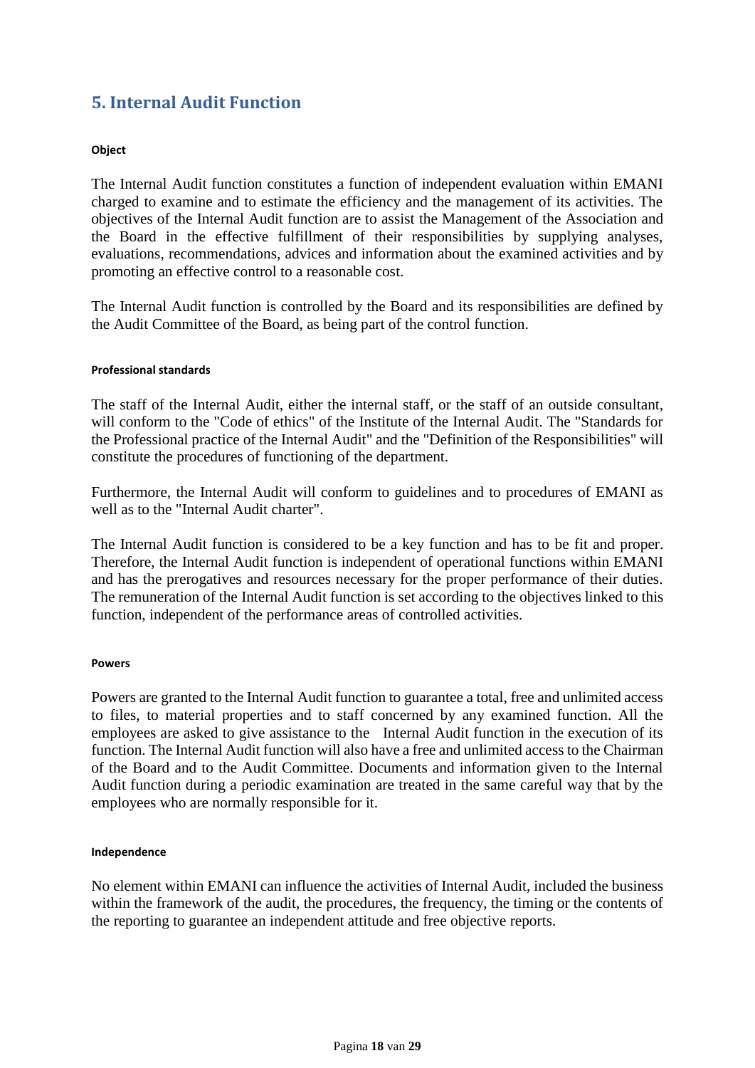# <span id="page-17-0"></span>**5. Internal Audit Function**

#### **Object**

The Internal Audit function constitutes a function of independent evaluation within EMANI charged to examine and to estimate the efficiency and the management of its activities. The objectives of the Internal Audit function are to assist the Management of the Association and the Board in the effective fulfillment of their responsibilities by supplying analyses, evaluations, recommendations, advices and information about the examined activities and by promoting an effective control to a reasonable cost.

The Internal Audit function is controlled by the Board and its responsibilities are defined by the Audit Committee of the Board, as being part of the control function.

#### **Professional standards**

The staff of the Internal Audit, either the internal staff, or the staff of an outside consultant, will conform to the "Code of ethics" of the Institute of the Internal Audit. The "Standards for the Professional practice of the Internal Audit" and the "Definition of the Responsibilities" will constitute the procedures of functioning of the department.

Furthermore, the Internal Audit will conform to guidelines and to procedures of EMANI as well as to the "Internal Audit charter".

The Internal Audit function is considered to be a key function and has to be fit and proper. Therefore, the Internal Audit function is independent of operational functions within EMANI and has the prerogatives and resources necessary for the proper performance of their duties. The remuneration of the Internal Audit function is set according to the objectives linked to this function, independent of the performance areas of controlled activities.

#### **Powers**

Powers are granted to the Internal Audit function to guarantee a total, free and unlimited access to files, to material properties and to staff concerned by any examined function. All the employees are asked to give assistance to the Internal Audit function in the execution of its function. The Internal Audit function will also have a free and unlimited access to the Chairman of the Board and to the Audit Committee. Documents and information given to the Internal Audit function during a periodic examination are treated in the same careful way that by the employees who are normally responsible for it.

#### **Independence**

No element within EMANI can influence the activities of Internal Audit, included the business within the framework of the audit, the procedures, the frequency, the timing or the contents of the reporting to guarantee an independent attitude and free objective reports.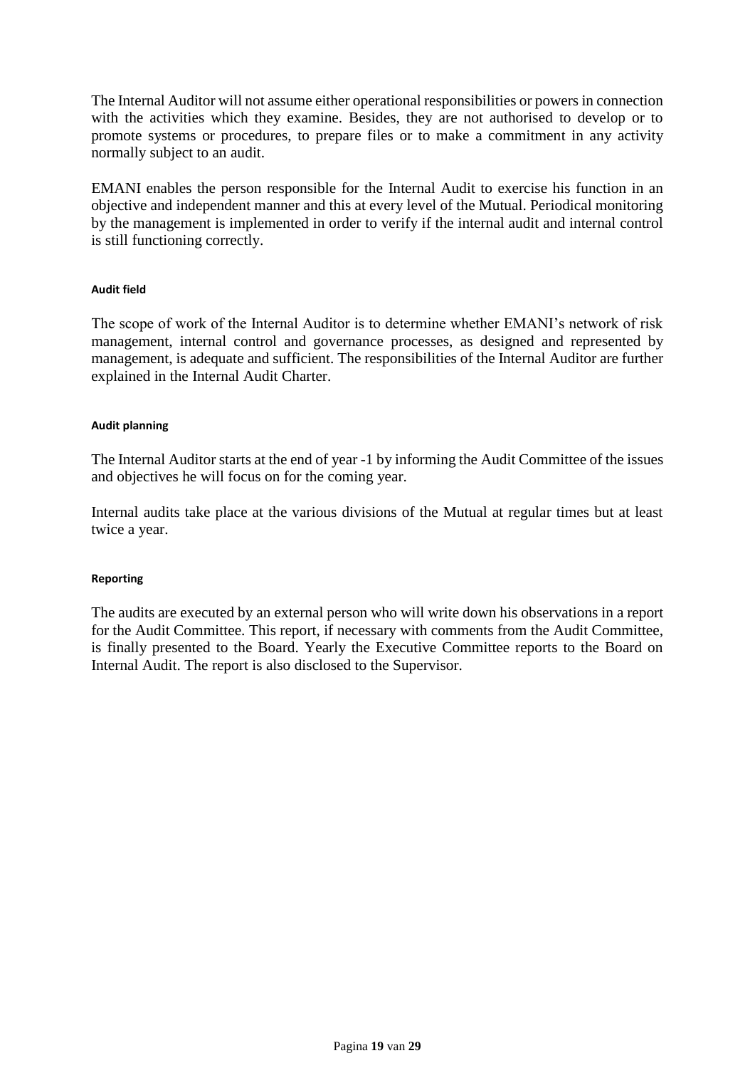The Internal Auditor will not assume either operational responsibilities or powers in connection with the activities which they examine. Besides, they are not authorised to develop or to promote systems or procedures, to prepare files or to make a commitment in any activity normally subject to an audit.

EMANI enables the person responsible for the Internal Audit to exercise his function in an objective and independent manner and this at every level of the Mutual. Periodical monitoring by the management is implemented in order to verify if the internal audit and internal control is still functioning correctly.

#### **Audit field**

The scope of work of the Internal Auditor is to determine whether EMANI's network of risk management, internal control and governance processes, as designed and represented by management, is adequate and sufficient. The responsibilities of the Internal Auditor are further explained in the Internal Audit Charter.

#### **Audit planning**

The Internal Auditor starts at the end of year -1 by informing the Audit Committee of the issues and objectives he will focus on for the coming year.

Internal audits take place at the various divisions of the Mutual at regular times but at least twice a year.

#### **Reporting**

The audits are executed by an external person who will write down his observations in a report for the Audit Committee. This report, if necessary with comments from the Audit Committee, is finally presented to the Board. Yearly the Executive Committee reports to the Board on Internal Audit. The report is also disclosed to the Supervisor.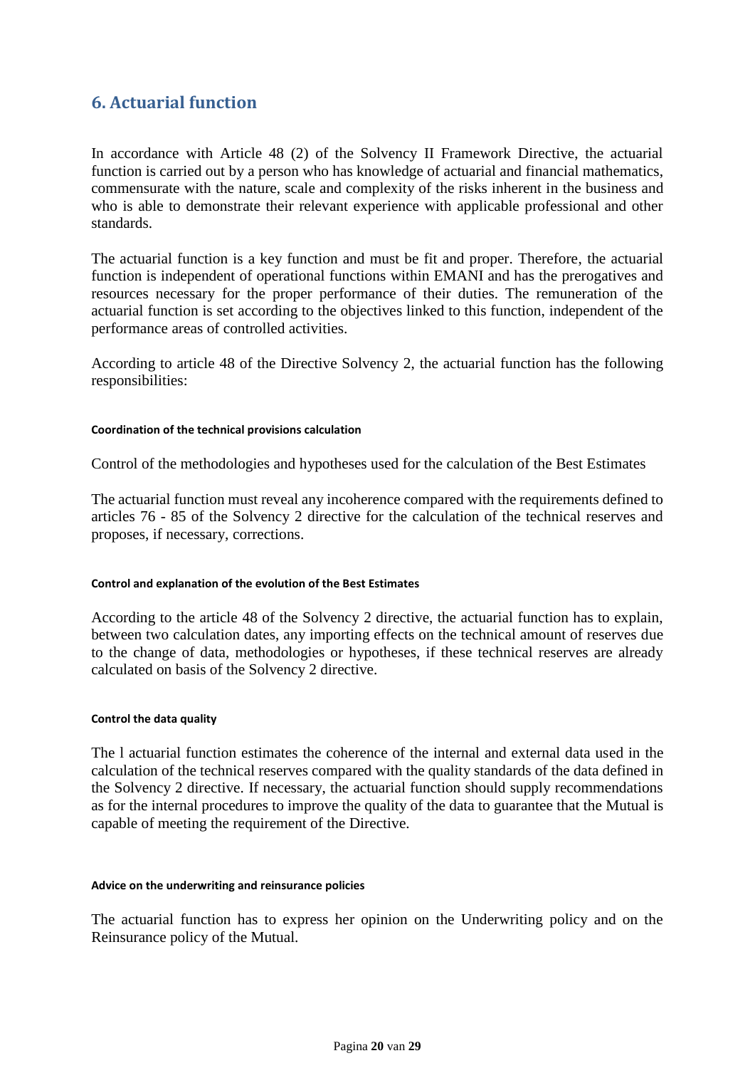## <span id="page-19-0"></span>**6. Actuarial function**

In accordance with Article 48 (2) of the Solvency II Framework Directive, the actuarial function is carried out by a person who has knowledge of actuarial and financial mathematics, commensurate with the nature, scale and complexity of the risks inherent in the business and who is able to demonstrate their relevant experience with applicable professional and other standards.

The actuarial function is a key function and must be fit and proper. Therefore, the actuarial function is independent of operational functions within EMANI and has the prerogatives and resources necessary for the proper performance of their duties. The remuneration of the actuarial function is set according to the objectives linked to this function, independent of the performance areas of controlled activities.

According to article 48 of the Directive Solvency 2, the actuarial function has the following responsibilities:

#### **Coordination of the technical provisions calculation**

Control of the methodologies and hypotheses used for the calculation of the Best Estimates

The actuarial function must reveal any incoherence compared with the requirements defined to articles 76 - 85 of the Solvency 2 directive for the calculation of the technical reserves and proposes, if necessary, corrections.

#### **Control and explanation of the evolution of the Best Estimates**

According to the article 48 of the Solvency 2 directive, the actuarial function has to explain, between two calculation dates, any importing effects on the technical amount of reserves due to the change of data, methodologies or hypotheses, if these technical reserves are already calculated on basis of the Solvency 2 directive.

#### **Control the data quality**

The l actuarial function estimates the coherence of the internal and external data used in the calculation of the technical reserves compared with the quality standards of the data defined in the Solvency 2 directive. If necessary, the actuarial function should supply recommendations as for the internal procedures to improve the quality of the data to guarantee that the Mutual is capable of meeting the requirement of the Directive.

#### **Advice on the underwriting and reinsurance policies**

The actuarial function has to express her opinion on the Underwriting policy and on the Reinsurance policy of the Mutual.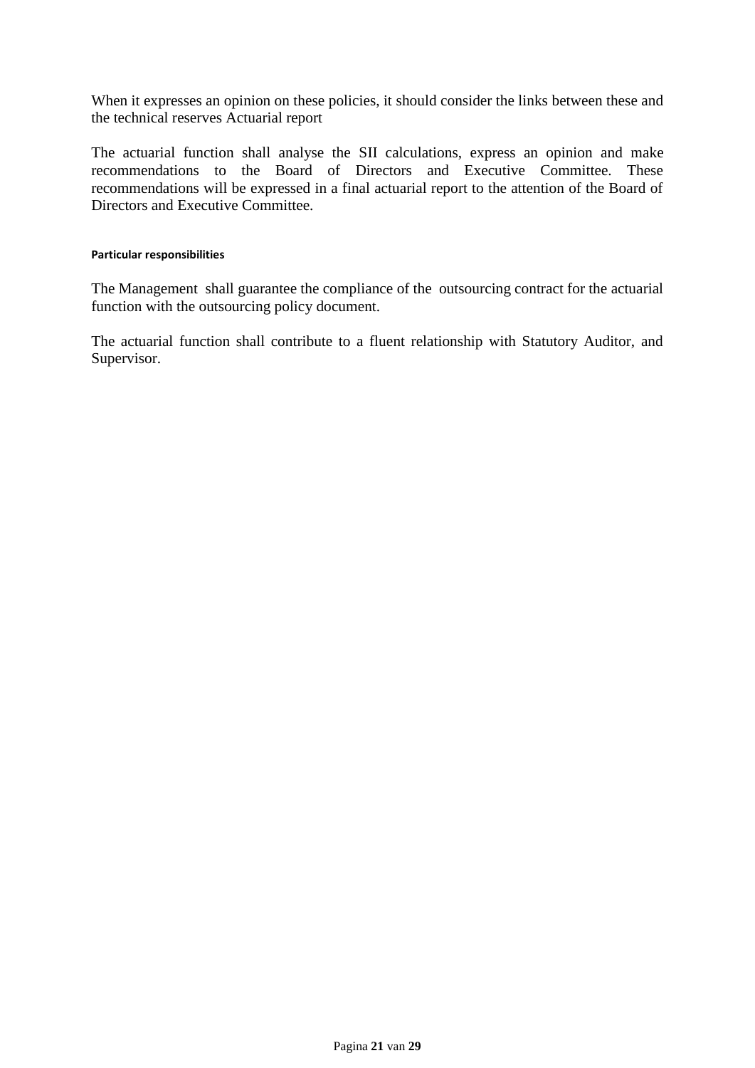When it expresses an opinion on these policies, it should consider the links between these and the technical reserves Actuarial report

The actuarial function shall analyse the SII calculations, express an opinion and make recommendations to the Board of Directors and Executive Committee. These recommendations will be expressed in a final actuarial report to the attention of the Board of Directors and Executive Committee.

#### **Particular responsibilities**

The Management shall guarantee the compliance of the outsourcing contract for the actuarial function with the outsourcing policy document.

The actuarial function shall contribute to a fluent relationship with Statutory Auditor, and Supervisor.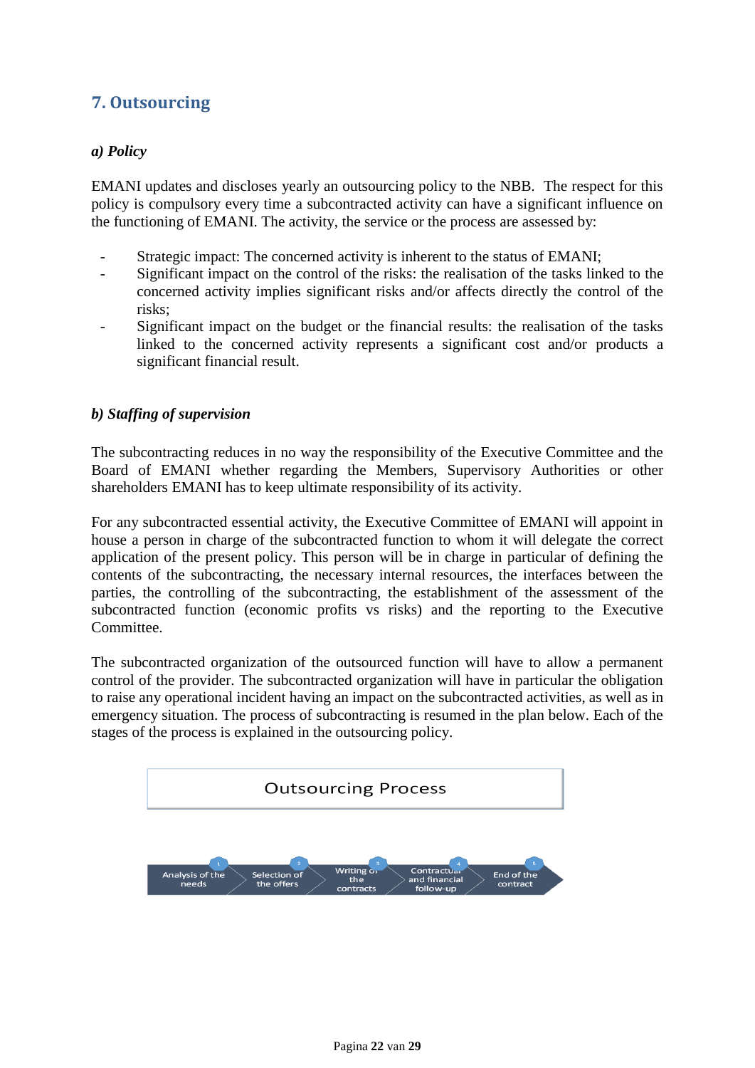# <span id="page-21-0"></span>**7. Outsourcing**

## <span id="page-21-1"></span>*a) Policy*

EMANI updates and discloses yearly an outsourcing policy to the NBB. The respect for this policy is compulsory every time a subcontracted activity can have a significant influence on the functioning of EMANI. The activity, the service or the process are assessed by:

- Strategic impact: The concerned activity is inherent to the status of EMANI;
- Significant impact on the control of the risks: the realisation of the tasks linked to the concerned activity implies significant risks and/or affects directly the control of the risks;
- Significant impact on the budget or the financial results: the realisation of the tasks linked to the concerned activity represents a significant cost and/or products a significant financial result.

## <span id="page-21-2"></span>*b) Staffing of supervision*

The subcontracting reduces in no way the responsibility of the Executive Committee and the Board of EMANI whether regarding the Members, Supervisory Authorities or other shareholders EMANI has to keep ultimate responsibility of its activity.

For any subcontracted essential activity, the Executive Committee of EMANI will appoint in house a person in charge of the subcontracted function to whom it will delegate the correct application of the present policy. This person will be in charge in particular of defining the contents of the subcontracting, the necessary internal resources, the interfaces between the parties, the controlling of the subcontracting, the establishment of the assessment of the subcontracted function (economic profits vs risks) and the reporting to the Executive Committee.

The subcontracted organization of the outsourced function will have to allow a permanent control of the provider. The subcontracted organization will have in particular the obligation to raise any operational incident having an impact on the subcontracted activities, as well as in emergency situation. The process of subcontracting is resumed in the plan below. Each of the stages of the process is explained in the outsourcing policy.

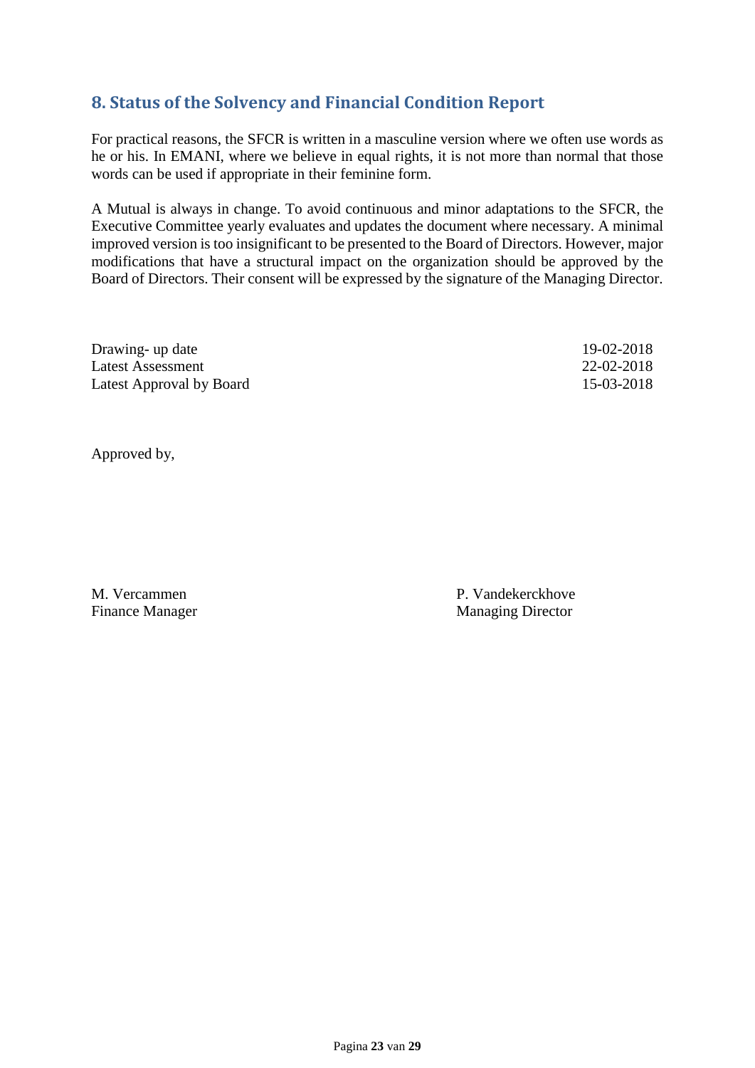# <span id="page-22-0"></span>**8. Status of the Solvency and Financial Condition Report**

For practical reasons, the SFCR is written in a masculine version where we often use words as he or his. In EMANI, where we believe in equal rights, it is not more than normal that those words can be used if appropriate in their feminine form.

A Mutual is always in change. To avoid continuous and minor adaptations to the SFCR, the Executive Committee yearly evaluates and updates the document where necessary. A minimal improved version is too insignificant to be presented to the Board of Directors. However, major modifications that have a structural impact on the organization should be approved by the Board of Directors. Their consent will be expressed by the signature of the Managing Director.

| Drawing- up date         | 19-02-2018 |
|--------------------------|------------|
| Latest Assessment        | 22-02-2018 |
| Latest Approval by Board | 15-03-2018 |

Approved by,

M. Vercammen **P. Vandekerckhove** Finance Manager Managing Director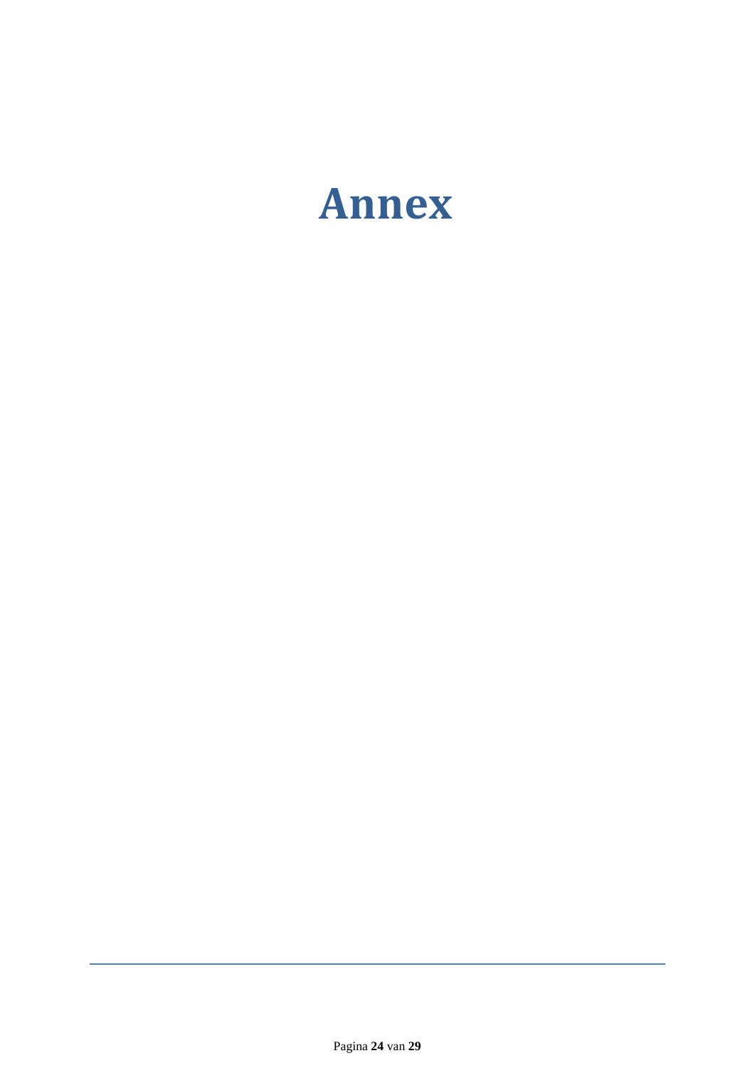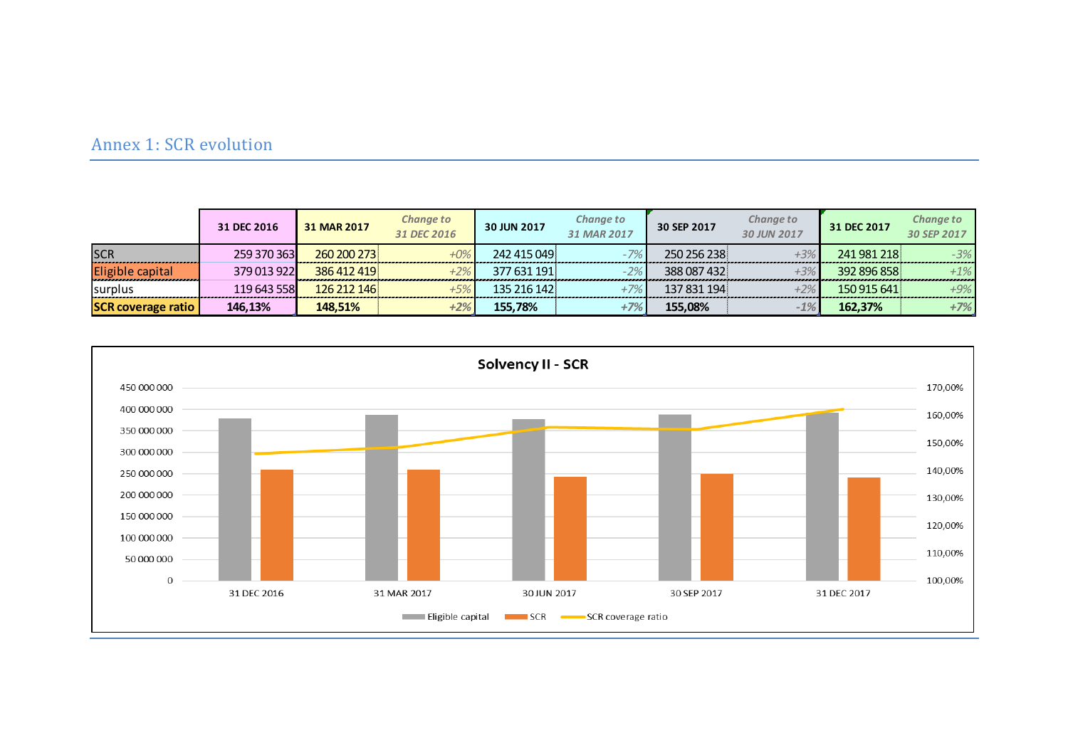## Annex 1: SCR evolution

|                           | 31 DEC 2016 | 31 MAR 2017 | <b>Change to</b><br>31 DEC 2016 | 30 JUN 2017 | <b>Change to</b><br>31 MAR 2017 | 30 SEP 2017 | Change to<br>30 JUN 2017 | 31 DEC 2017 | <b>Change to</b><br>30 SEP 2017 |
|---------------------------|-------------|-------------|---------------------------------|-------------|---------------------------------|-------------|--------------------------|-------------|---------------------------------|
| <b>SCR</b>                | 259 370 363 | 260 200 273 |                                 | 242 415 049 | $-7%$                           | 250 256 238 | $+3%$                    | 241 981 218 | $-3%$                           |
| Eligible capital          | 379 013 922 | 386 412 419 |                                 | 377 631 191 | $-2\%$                          | 388 087 432 | $+3%$                    | 392 896 858 | $+1\%$                          |
| <b>Surplus</b>            | 119 643 558 | 126 212 146 |                                 | 135 216 142 | $+7%$                           | 137 831 194 | $+2\%$                   | 150 915 641 | $+9\%$                          |
| <b>SCR coverage ratio</b> | 146,13%     | 148,51%     |                                 | 155.78%     | +7%                             | 155,08%     | $-1%$                    | 162,37%     | $+7%$                           |

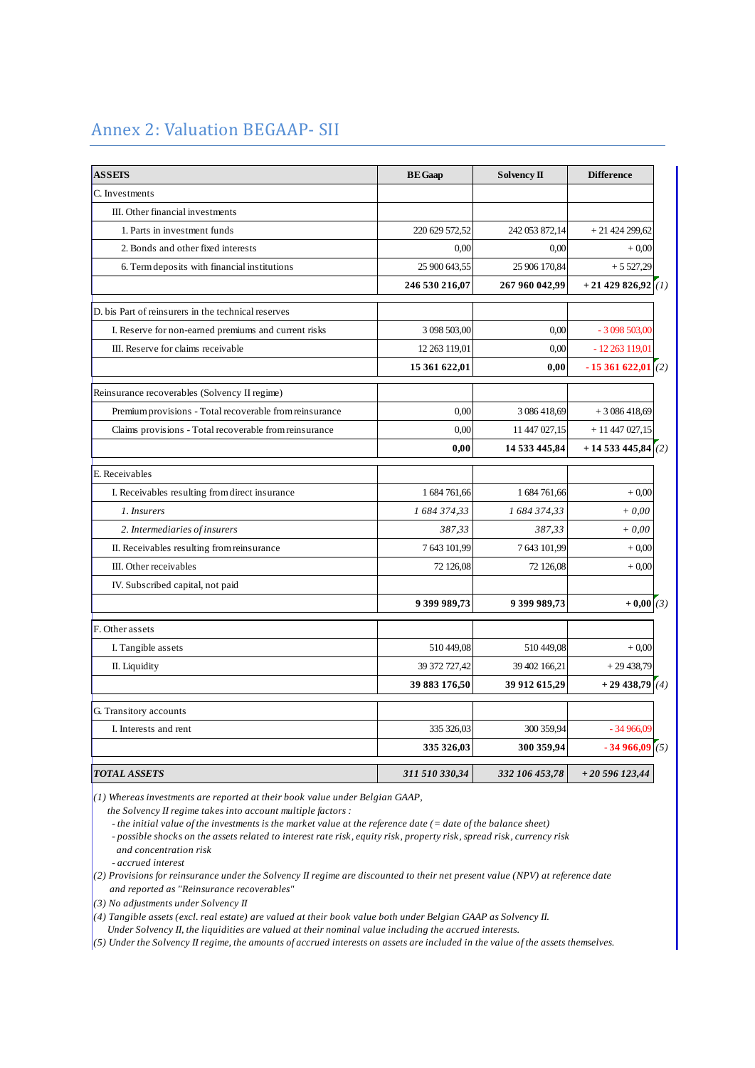## Annex 2: Valuation BEGAAP- SII

| <b>ASSETS</b>                                           | <b>BE</b> Gaap | Solvency II    | <b>Difference</b>      |
|---------------------------------------------------------|----------------|----------------|------------------------|
| C. Investments                                          |                |                |                        |
| III. Other financial investments                        |                |                |                        |
| 1. Parts in investment funds                            | 220 629 572,52 | 242 053 872,14 | $+2142429962$          |
| 2. Bonds and other fixed interests                      | 0.00           | 0.00           | $+0,00$                |
| 6. Term deposits with financial institutions            | 25 900 643,55  | 25 906 170,84  | $+5527,29$             |
|                                                         | 246 530 216,07 | 267 960 042,99 | $+21$ 429 826,92 $(1)$ |
| D. bis Part of reinsurers in the technical reserves     |                |                |                        |
| I. Reserve for non-earned premiums and current risks    | 3 098 503,00   | 0,00           | $-3098503,00$          |
| III. Reserve for claims receivable                      | 12 263 119,01  | 0.00           | $-12263119,01$         |
|                                                         | 15 361 622,01  | 0,00           | $-15361622,01(2)$      |
| Reinsurance recoverables (Solvency II regime)           |                |                |                        |
| Premium provisions - Total recoverable from reinsurance | 0.00           | 3 086 418,69   | $+3086418,69$          |
| Claims provisions - Total recoverable from reinsurance  | 0.00           | 11 447 027,15  | $+11447027,15$         |
|                                                         | 0,00           | 14 533 445,84  | $+14533445,84(2)$      |
| E. Receivables                                          |                |                |                        |
| I. Receivables resulting from direct insurance          | 1 684 761,66   | 1 684 761,66   | $+0,00$                |
| 1. Insurers                                             | 1 684 374,33   | 1 684 374,33   | $+0,00$                |
| 2. Intermediaries of insurers                           | 387,33         | 387,33         | $+0,00$                |
| II. Receivables resulting from reinsurance              | 7643101,99     | 7 643 101,99   | $+0.00$                |
| III. Other receivables                                  | 72 126,08      | 72 126,08      | $+0.00$                |
| IV. Subscribed capital, not paid                        |                |                |                        |
|                                                         | 9 399 989,73   | 9 399 989,73   | $+0,00(3)$             |
| F. Other assets                                         |                |                |                        |
| I. Tangible assets                                      | 510 449.08     | 510 449,08     | $+0.00$                |
| II. Liquidity                                           | 39 372 727,42  | 39 402 166,21  | $+29438,79$            |
|                                                         | 39 883 176,50  | 39 912 615,29  | $+29438,79(4)$         |
| G. Transitory accounts                                  |                |                |                        |
| I. Interests and rent                                   | 335 326,03     | 300 359,94     | $-34966.09$            |
|                                                         | 335 326,03     | 300 359,94     | $-34966,09(5)$         |
| <b>TOTAL ASSETS</b>                                     | 311 510 330,34 | 332 106 453,78 | $+20596123,44$         |

*(1) Whereas investments are reported at their book value under Belgian GAAP,* 

 *the Solvency II regime takes into account multiple factors :*

*- the initial value of the investments is the market value at the reference date (= date of the balance sheet)* 

*- possible shocks on the assets related to interest rate risk, equity risk, property risk, spread risk, currency risk and concentration risk*

*- accrued interest*

*(2) Provisions for reinsurance under the Solvency II regime are discounted to their net present value (NPV) at reference date and reported as "Reinsurance recoverables"*

*(3) No adjustments under Solvency II*

 *Under Solvency II, the liquidities are valued at their nominal value including the accrued interests. (4) Tangible assets (excl. real estate) are valued at their book value both under Belgian GAAP as Solvency II.* 

*(5) Under the Solvency II regime, the amounts of accrued interests on assets are included in the value of the assets themselves.*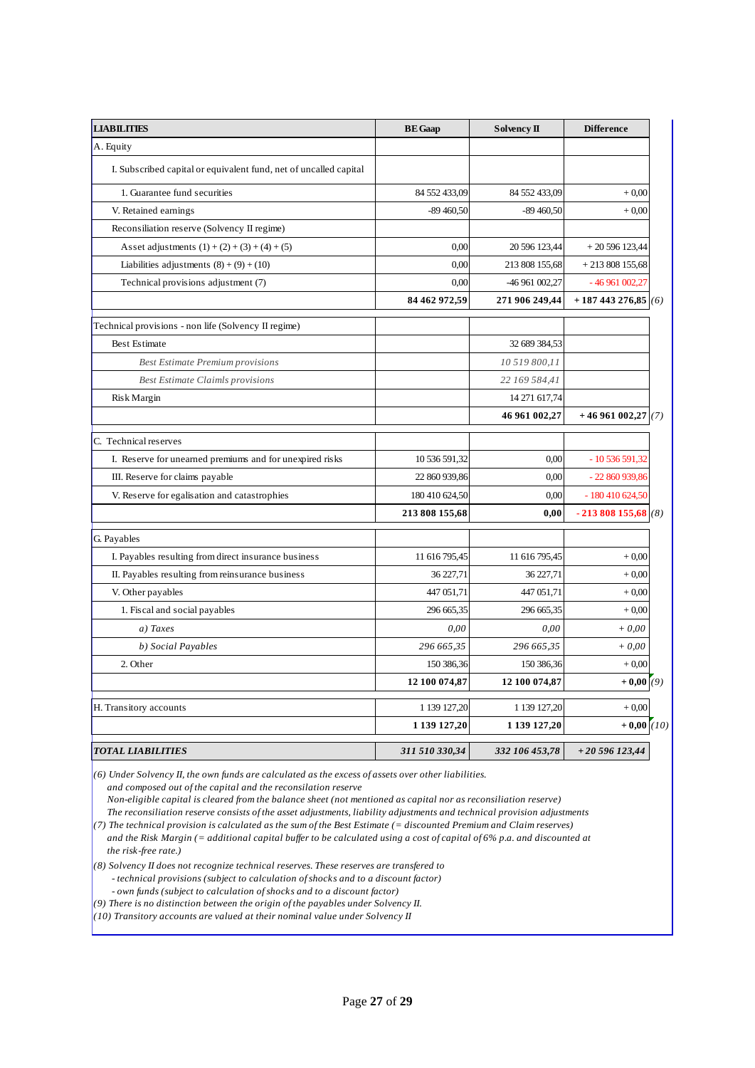| <b>LIABILITIES</b>                                                | <b>BE</b> Gaap | <b>Solvency II</b> | <b>Difference</b>  |
|-------------------------------------------------------------------|----------------|--------------------|--------------------|
| A. Equity                                                         |                |                    |                    |
| I. Subscribed capital or equivalent fund, net of uncalled capital |                |                    |                    |
| 1. Guarantee fund securities                                      | 84 552 433,09  | 84 552 433,09      | $+0.00$            |
| V. Retained earnings                                              | $-89460,50$    | $-89460,50$        | $+0.00$            |
| Reconsiliation reserve (Solvency II regime)                       |                |                    |                    |
| Asset adjustments $(1) + (2) + (3) + (4) + (5)$                   | 0,00           | 20 596 123,44      | $+20596123,44$     |
| Liabilities adjustments $(8) + (9) + (10)$                        | 0,00           | 213 808 155,68     | $+213808155,68$    |
| Technical provisions adjustment (7)                               | 0,00           | -46 961 002,27     | $-46961002,27$     |
|                                                                   | 84 462 972,59  | 271 906 249,44     | $+187443276,85(6)$ |
| Technical provisions - non life (Solvency II regime)              |                |                    |                    |
| Best Estimate                                                     |                | 32 689 384,53      |                    |
| <b>Best Estimate Premium provisions</b>                           |                | 10 519 800,11      |                    |
| <b>Best Estimate Claimls provisions</b>                           |                | 22 169 584,41      |                    |
| <b>Risk Margin</b>                                                |                | 14 271 617,74      |                    |
|                                                                   |                | 46 961 002,27      | $+46961002,27(7)$  |
| C. Technical reserves                                             |                |                    |                    |
| I. Reserve for unearned premiums and for unexpired risks          | 10 536 591,32  | 0.00               | $-10536591,32$     |
| III. Reserve for claims payable                                   | 22 860 939,86  | 0.00               | - 22 860 939,86    |
| V. Reserve for egalisation and catastrophies                      | 180 410 624,50 | 0,00               | $-180410624,50$    |
|                                                                   | 213 808 155,68 | 0,00               | $-213808155,68(8)$ |
| G. Payables                                                       |                |                    |                    |
| I. Payables resulting from direct insurance business              | 11 616 795,45  | 11 616 795,45      | $+0.00$            |
| II. Payables resulting from reinsurance business                  | 36 227,71      | 36 227,71          | $+0,00$            |
| V. Other payables                                                 | 447 051,71     | 447 051,71         | $+0,00$            |
| 1. Fiscal and social payables                                     | 296 665,35     | 296 665,35         | $+0.00$            |
| a) Taxes                                                          | 0,00           | 0,00               | $+0,00$            |
| b) Social Payables                                                | 296 665,35     | 296 665,35         | $+0,00$            |
| 2. Other                                                          | 150 386,36     | 150 386,36         | $+0,00$            |
|                                                                   | 12 100 074,87  | 12 100 074,87      | $+0,00(9)$         |
| H. Transitory accounts                                            | 1 139 127,20   | 1 139 127,20       | $+0,00$            |
|                                                                   | 1 139 127,20   | 1 139 127,20       | $+0,00(10)$        |
| <b>TOTAL LIABILITIES</b>                                          | 311 510 330,34 | 332 106 453,78     | $+20596123,44$     |

 *and composed out of the capital and the reconsilation reserve (6) Under Solvency II, the own funds are calculated as the excess of assets over other liabilities.*

 *Non-eligible capital is cleared from the balance sheet (not mentioned as capital nor as reconsiliation reserve) The reconsiliation reserve consists of the asset adjustments, liability adjustments and technical provision adjustments*

*(7) The technical provision is calculated as the sum of the Best Estimate (= discounted Premium and Claim reserves)* 

 *and the Risk Margin (= additional capital buffer to be calculated using a cost of capital of 6% p.a. and discounted at the risk-free rate.)*

*- technical provisions (subject to calculation of shocks and to a discount factor) - own funds (subject to calculation of shocks and to a discount factor) (8) Solvency II does not recognize technical reserves. These reserves are transfered to* 

*(9) There is no distinction between the origin of the payables under Solvency II.* 

*(10) Transitory accounts are valued at their nominal value under Solvency II*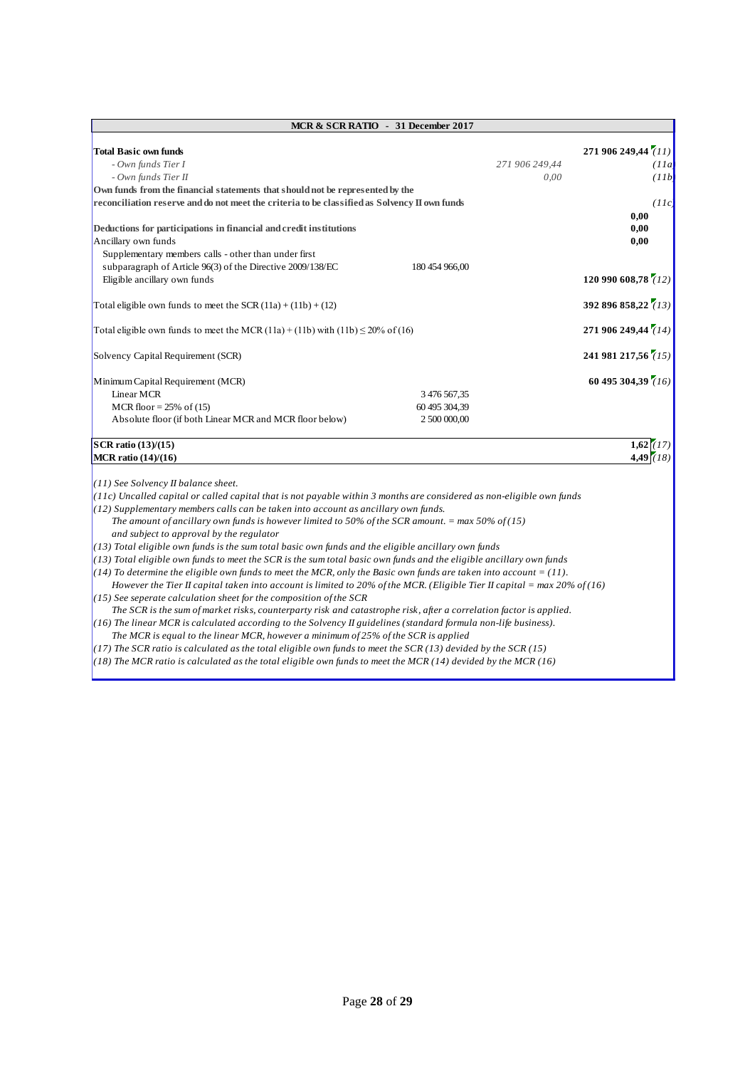| MCR & SCR RATIO - 31 December 2017                                                                                                                                                                                                            |                |                        |                                      |  |
|-----------------------------------------------------------------------------------------------------------------------------------------------------------------------------------------------------------------------------------------------|----------------|------------------------|--------------------------------------|--|
| <b>Total Basic own funds</b><br>- Own funds Tier I<br>- Own funds Tier II                                                                                                                                                                     |                | 271 906 249,44<br>0,00 | 271 906 249,44 (11)<br>(IIa<br>(11b) |  |
| Own funds from the financial statements that should not be represented by the                                                                                                                                                                 |                |                        |                                      |  |
| reconciliation reserve and do not meet the criteria to be classified as Solvency II own funds                                                                                                                                                 |                |                        | (IIc)                                |  |
| Deductions for participations in financial and credit institutions<br>Ancillary own funds                                                                                                                                                     |                |                        | 0,00<br>0,00<br>0.00                 |  |
| Supplementary members calls - other than under first                                                                                                                                                                                          | 180 454 966,00 |                        |                                      |  |
| subparagraph of Article 96(3) of the Directive 2009/138/EC<br>Eligible ancillary own funds                                                                                                                                                    |                |                        | 120 990 608,78 (12)                  |  |
|                                                                                                                                                                                                                                               |                |                        |                                      |  |
| Total eligible own funds to meet the SCR $(11a) + (11b) + (12)$                                                                                                                                                                               |                |                        | 392 896 858,22 (13)                  |  |
| Total eligible own funds to meet the MCR $(11a) + (11b)$ with $(11b) \le 20\%$ of $(16)$                                                                                                                                                      |                |                        | 271 906 249,44 (14)                  |  |
| Solvency Capital Requirement (SCR)                                                                                                                                                                                                            |                |                        | 241 981 217,56 (15)                  |  |
| Minimum Capital Requirement (MCR)                                                                                                                                                                                                             |                |                        | 60 495 304,39 (16)                   |  |
| Linear MCR                                                                                                                                                                                                                                    | 3 476 567,35   |                        |                                      |  |
| MCR floor = $25\%$ of (15)                                                                                                                                                                                                                    | 60 495 304,39  |                        |                                      |  |
| Absolute floor (if both Linear MCR and MCR floor below)                                                                                                                                                                                       | 2 500 000,00   |                        |                                      |  |
| SCR ratio (13)/(15)                                                                                                                                                                                                                           |                |                        | $1,62$ (17)                          |  |
| <b>MCR</b> ratio (14)/(16)                                                                                                                                                                                                                    |                |                        | 4.49(18)                             |  |
|                                                                                                                                                                                                                                               |                |                        |                                      |  |
| (11) See Solvency II balance sheet.                                                                                                                                                                                                           |                |                        |                                      |  |
| (11c) Uncalled capital or called capital that is not payable within 3 months are considered as non-eligible own funds                                                                                                                         |                |                        |                                      |  |
| (12) Supplementary members calls can be taken into account as ancillary own funds.                                                                                                                                                            |                |                        |                                      |  |
| The amount of ancillary own funds is however limited to 50% of the SCR amount. $=$ max 50% of (15)<br>and subject to approval by the regulator                                                                                                |                |                        |                                      |  |
| (13) Total eligible own funds is the sum total basic own funds and the eligible ancillary own funds                                                                                                                                           |                |                        |                                      |  |
| (13) Total eligible own funds to meet the SCR is the sum total basic own funds and the eligible ancillary own funds                                                                                                                           |                |                        |                                      |  |
| (14) To determine the eligible own funds to meet the MCR, only the Basic own funds are taken into account = (11).<br>However the Tier II capital taken into account is limited to 20% of the MCR. (Eligible Tier II capital = max 20% of (16) |                |                        |                                      |  |
| $(15)$ See seperate calculation sheet for the composition of the SCR                                                                                                                                                                          |                |                        |                                      |  |
| The SCR is the sum of market risks, counterparty risk and catastrophe risk, after a correlation factor is applied.                                                                                                                            |                |                        |                                      |  |
| (16) The linear MCR is calculated according to the Solvency II guidelines (standard formula non-life business).                                                                                                                               |                |                        |                                      |  |
| The MCR is equal to the linear MCR, however a minimum of $25\%$ of the SCR is applied                                                                                                                                                         |                |                        |                                      |  |
| (17) The SCR ratio is calculated as the total eligible own funds to meet the SCR (13) devided by the SCR (15)                                                                                                                                 |                |                        |                                      |  |
| $(18)$ The MCR ratio is calculated as the total eligible own funds to meet the MCR (14) devided by the MCR (16)                                                                                                                               |                |                        |                                      |  |